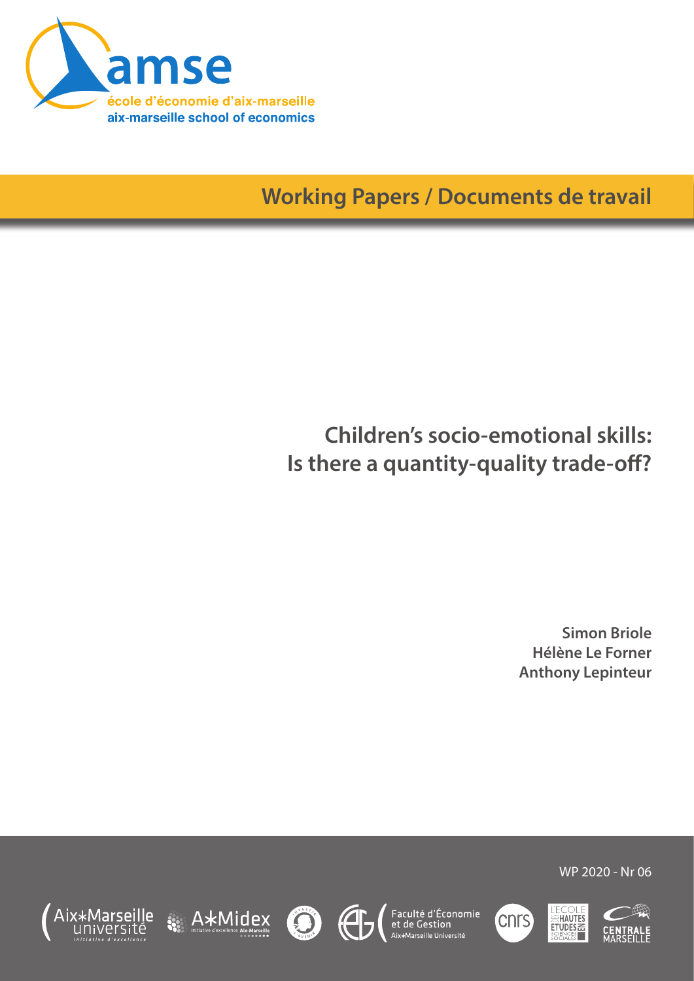

**Working Papers / Documents de travail**

# **Children's socio-emotional skills: Is there a quantity-quality trade-off?**

**Simon Briole Hélène Le Forner Anthony Lepinteur**

WP 2020 - Nr 06















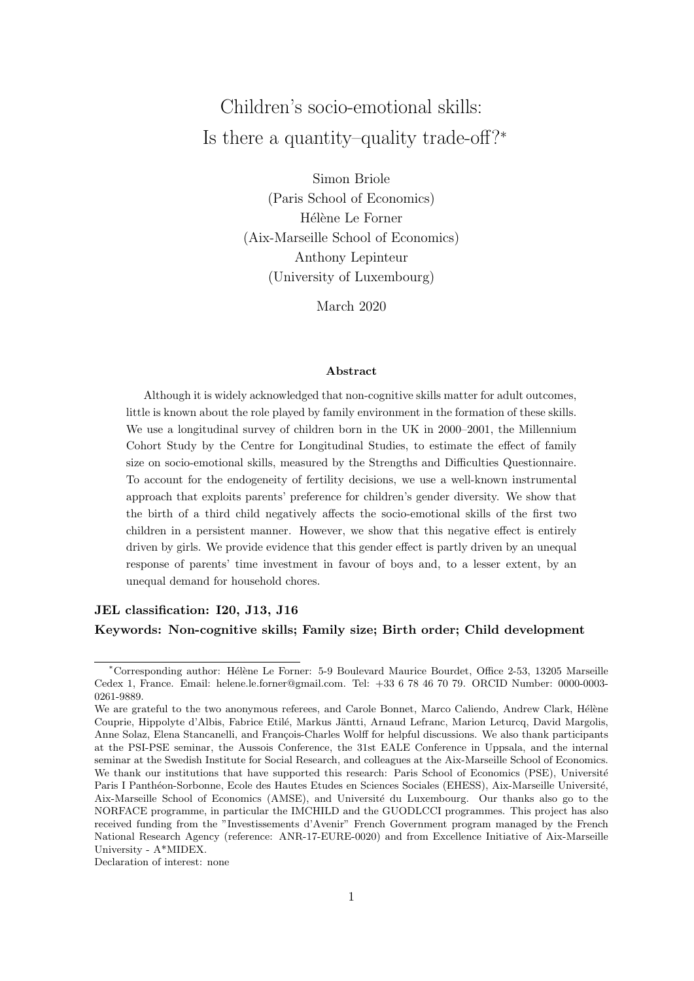## Children's socio-emotional skills: Is there a quantity–quality trade-off?<sup>∗</sup>

Simon Briole (Paris School of Economics) Hélène Le Forner (Aix-Marseille School of Economics) Anthony Lepinteur (University of Luxembourg)

March 2020

#### Abstract

Although it is widely acknowledged that non-cognitive skills matter for adult outcomes, little is known about the role played by family environment in the formation of these skills. We use a longitudinal survey of children born in the UK in 2000–2001, the Millennium Cohort Study by the Centre for Longitudinal Studies, to estimate the effect of family size on socio-emotional skills, measured by the Strengths and Difficulties Questionnaire. To account for the endogeneity of fertility decisions, we use a well-known instrumental approach that exploits parents' preference for children's gender diversity. We show that the birth of a third child negatively affects the socio-emotional skills of the first two children in a persistent manner. However, we show that this negative effect is entirely driven by girls. We provide evidence that this gender effect is partly driven by an unequal response of parents' time investment in favour of boys and, to a lesser extent, by an unequal demand for household chores.

#### JEL classification: I20, J13, J16

Keywords: Non-cognitive skills; Family size; Birth order; Child development

Declaration of interest: none

<sup>∗</sup>Corresponding author: H´el`ene Le Forner: 5-9 Boulevard Maurice Bourdet, Office 2-53, 13205 Marseille Cedex 1, France. Email: helene.le.forner@gmail.com. Tel: +33 6 78 46 70 79. ORCID Number: 0000-0003- 0261-9889.

We are grateful to the two anonymous referees, and Carole Bonnet, Marco Caliendo, Andrew Clark, Hélène Couprie, Hippolyte d'Albis, Fabrice Etilé, Markus Jäntti, Arnaud Lefranc, Marion Leturcq, David Margolis, Anne Solaz, Elena Stancanelli, and François-Charles Wolff for helpful discussions. We also thank participants at the PSI-PSE seminar, the Aussois Conference, the 31st EALE Conference in Uppsala, and the internal seminar at the Swedish Institute for Social Research, and colleagues at the Aix-Marseille School of Economics. We thank our institutions that have supported this research: Paris School of Economics (PSE), Université Paris I Panthéon-Sorbonne, Ecole des Hautes Etudes en Sciences Sociales (EHESS), Aix-Marseille Université, Aix-Marseille School of Economics (AMSE), and Université du Luxembourg. Our thanks also go to the NORFACE programme, in particular the IMCHILD and the GUODLCCI programmes. This project has also received funding from the "Investissements d'Avenir" French Government program managed by the French National Research Agency (reference: ANR-17-EURE-0020) and from Excellence Initiative of Aix-Marseille University - A\*MIDEX.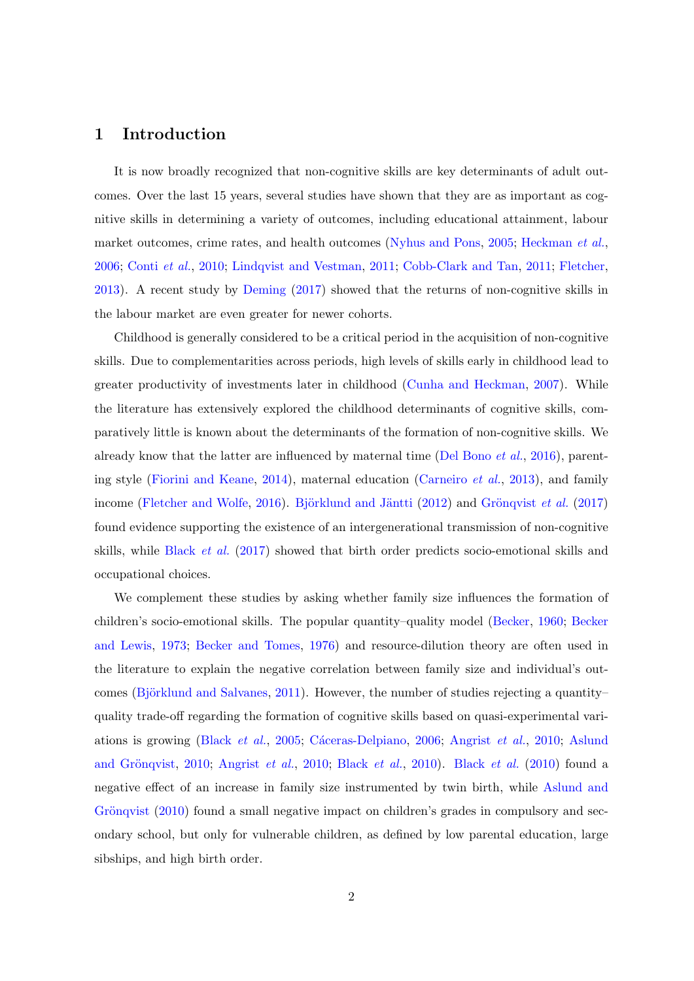#### 1 Introduction

It is now broadly recognized that non-cognitive skills are key determinants of adult outcomes. Over the last 15 years, several studies have shown that they are as important as cognitive skills in determining a variety of outcomes, including educational attainment, labour market outcomes, crime rates, and health outcomes [\(Nyhus and Pons,](#page-25-0) [2005;](#page-25-0) [Heckman](#page-24-0) et al., [2006;](#page-24-0) [Conti](#page-22-0) et al., [2010;](#page-22-0) [Lindqvist and Vestman,](#page-24-1) [2011;](#page-24-1) [Cobb-Clark and Tan,](#page-22-1) [2011;](#page-22-1) [Fletcher,](#page-23-0) [2013\)](#page-23-0). A recent study by [Deming](#page-23-1) [\(2017\)](#page-23-1) showed that the returns of non-cognitive skills in the labour market are even greater for newer cohorts.

Childhood is generally considered to be a critical period in the acquisition of non-cognitive skills. Due to complementarities across periods, high levels of skills early in childhood lead to greater productivity of investments later in childhood [\(Cunha and Heckman,](#page-22-2) [2007\)](#page-22-2). While the literature has extensively explored the childhood determinants of cognitive skills, comparatively little is known about the determinants of the formation of non-cognitive skills. We already know that the latter are influenced by maternal time [\(Del Bono](#page-23-2) *et al.*, [2016\)](#page-23-2), parenting style [\(Fiorini and Keane,](#page-23-3) [2014\)](#page-23-3), maternal education [\(Carneiro](#page-22-3) et al., [2013\)](#page-22-3), and family income [\(Fletcher and Wolfe,](#page-23-4) [2016\)](#page-23-4). Björklund and Jäntti [\(2012\)](#page-21-0) and Grönqvist *et al.* [\(2017\)](#page-24-2) found evidence supporting the existence of an intergenerational transmission of non-cognitive skills, while [Black](#page-22-4) et al. [\(2017\)](#page-22-4) showed that birth order predicts socio-emotional skills and occupational choices.

We complement these studies by asking whether family size influences the formation of children's socio-emotional skills. The popular quantity–quality model [\(Becker,](#page-21-1) [1960;](#page-21-1) [Becker](#page-21-2) [and Lewis,](#page-21-2) [1973;](#page-21-2) [Becker and Tomes,](#page-21-3) [1976\)](#page-21-3) and resource-dilution theory are often used in the literature to explain the negative correlation between family size and individual's out-comes (Björklund and Salvanes, [2011\)](#page-21-4). However, the number of studies rejecting a quantity– quality trade-off regarding the formation of cognitive skills based on quasi-experimental vari-ations is growing [\(Black](#page-22-5) *et al.*, [2005;](#page-22-5) Cáceras-Delpiano, [2006;](#page-22-6) [Angrist](#page-21-5) *et al.*, [2010;](#page-21-5) [Aslund](#page-21-6) and Grönqvist, [2010;](#page-21-5) [Angrist](#page-21-5) et al., 2010; [Black](#page-22-7) et al., [2010\)](#page-22-7). Black et al. [\(2010\)](#page-22-7) found a negative effect of an increase in family size instrumented by twin birth, while [Aslund and](#page-21-6) Grönqvist  $(2010)$  found a small negative impact on children's grades in compulsory and secondary school, but only for vulnerable children, as defined by low parental education, large sibships, and high birth order.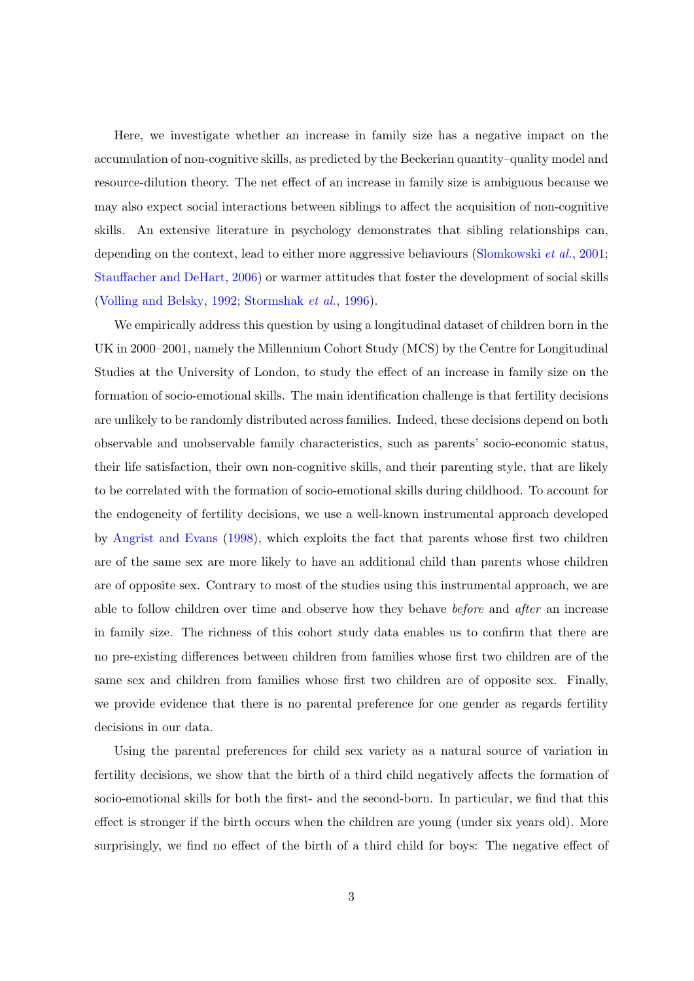Here, we investigate whether an increase in family size has a negative impact on the accumulation of non-cognitive skills, as predicted by the Beckerian quantity–quality model and resource-dilution theory. The net effect of an increase in family size is ambiguous because we may also expect social interactions between siblings to affect the acquisition of non-cognitive skills. An extensive literature in psychology demonstrates that sibling relationships can, depending on the context, lead to either more aggressive behaviours [\(Slomkowski](#page-25-1) *et al.*, [2001;](#page-25-1) [Stauffacher and DeHart,](#page-25-2) [2006\)](#page-25-2) or warmer attitudes that foster the development of social skills [\(Volling and Belsky,](#page-25-3) [1992;](#page-25-3) [Stormshak](#page-25-4) et al., [1996\)](#page-25-4).

We empirically address this question by using a longitudinal dataset of children born in the UK in 2000–2001, namely the Millennium Cohort Study (MCS) by the Centre for Longitudinal Studies at the University of London, to study the effect of an increase in family size on the formation of socio-emotional skills. The main identification challenge is that fertility decisions are unlikely to be randomly distributed across families. Indeed, these decisions depend on both observable and unobservable family characteristics, such as parents' socio-economic status, their life satisfaction, their own non-cognitive skills, and their parenting style, that are likely to be correlated with the formation of socio-emotional skills during childhood. To account for the endogeneity of fertility decisions, we use a well-known instrumental approach developed by [Angrist and Evans](#page-21-7) [\(1998\)](#page-21-7), which exploits the fact that parents whose first two children are of the same sex are more likely to have an additional child than parents whose children are of opposite sex. Contrary to most of the studies using this instrumental approach, we are able to follow children over time and observe how they behave before and after an increase in family size. The richness of this cohort study data enables us to confirm that there are no pre-existing differences between children from families whose first two children are of the same sex and children from families whose first two children are of opposite sex. Finally, we provide evidence that there is no parental preference for one gender as regards fertility decisions in our data.

Using the parental preferences for child sex variety as a natural source of variation in fertility decisions, we show that the birth of a third child negatively affects the formation of socio-emotional skills for both the first- and the second-born. In particular, we find that this effect is stronger if the birth occurs when the children are young (under six years old). More surprisingly, we find no effect of the birth of a third child for boys: The negative effect of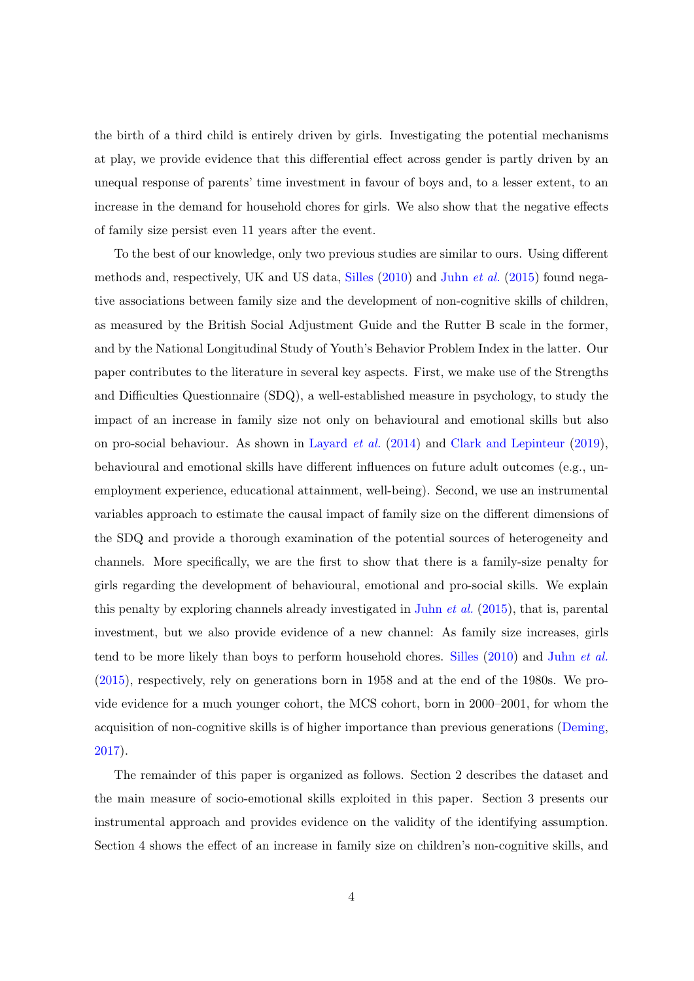the birth of a third child is entirely driven by girls. Investigating the potential mechanisms at play, we provide evidence that this differential effect across gender is partly driven by an unequal response of parents' time investment in favour of boys and, to a lesser extent, to an increase in the demand for household chores for girls. We also show that the negative effects of family size persist even 11 years after the event.

To the best of our knowledge, only two previous studies are similar to ours. Using different methods and, respectively, UK and US data, [Silles](#page-25-5) [\(2010\)](#page-25-5) and Juhn [et al.](#page-24-3) [\(2015\)](#page-24-3) found negative associations between family size and the development of non-cognitive skills of children, as measured by the British Social Adjustment Guide and the Rutter B scale in the former, and by the National Longitudinal Study of Youth's Behavior Problem Index in the latter. Our paper contributes to the literature in several key aspects. First, we make use of the Strengths and Difficulties Questionnaire (SDQ), a well-established measure in psychology, to study the impact of an increase in family size not only on behavioural and emotional skills but also on pro-social behaviour. As shown in [Layard](#page-24-4) et al. [\(2014\)](#page-24-4) and [Clark and Lepinteur](#page-22-8) [\(2019\)](#page-22-8), behavioural and emotional skills have different influences on future adult outcomes (e.g., unemployment experience, educational attainment, well-being). Second, we use an instrumental variables approach to estimate the causal impact of family size on the different dimensions of the SDQ and provide a thorough examination of the potential sources of heterogeneity and channels. More specifically, we are the first to show that there is a family-size penalty for girls regarding the development of behavioural, emotional and pro-social skills. We explain this penalty by exploring channels already investigated in Juhn [et al.](#page-24-3) [\(2015\)](#page-24-3), that is, parental investment, but we also provide evidence of a new channel: As family size increases, girls tend to be more likely than boys to perform household chores. [Silles](#page-25-5) [\(2010\)](#page-25-5) and Juhn [et al.](#page-24-3) [\(2015\)](#page-24-3), respectively, rely on generations born in 1958 and at the end of the 1980s. We provide evidence for a much younger cohort, the MCS cohort, born in 2000–2001, for whom the acquisition of non-cognitive skills is of higher importance than previous generations [\(Deming,](#page-23-1) [2017\)](#page-23-1).

The remainder of this paper is organized as follows. Section 2 describes the dataset and the main measure of socio-emotional skills exploited in this paper. Section 3 presents our instrumental approach and provides evidence on the validity of the identifying assumption. Section 4 shows the effect of an increase in family size on children's non-cognitive skills, and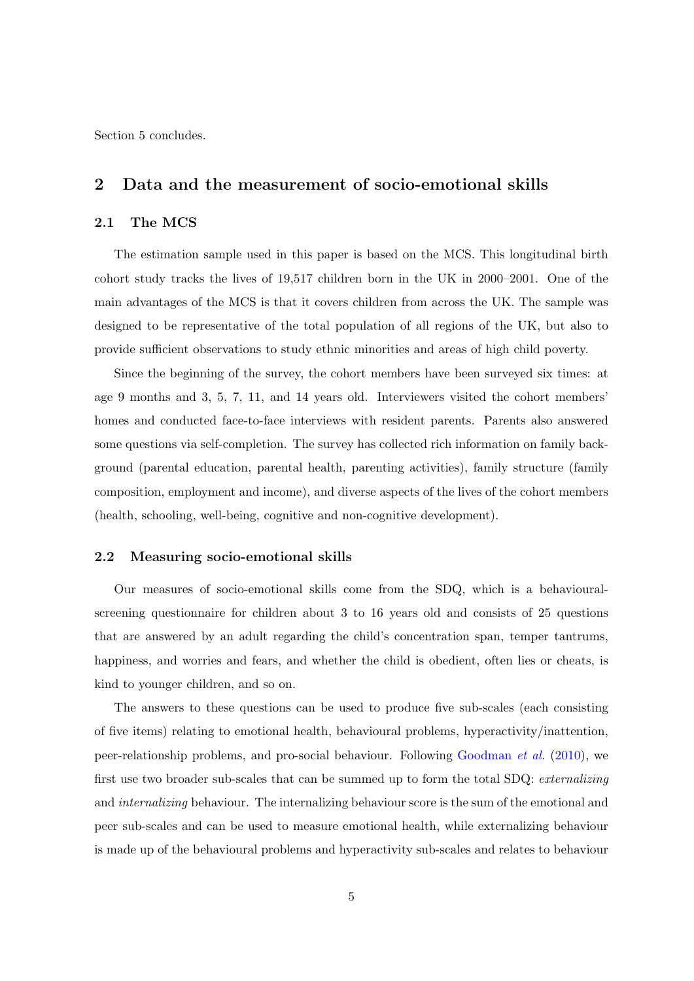Section 5 concludes.

#### 2 Data and the measurement of socio-emotional skills

#### 2.1 The MCS

The estimation sample used in this paper is based on the MCS. This longitudinal birth cohort study tracks the lives of 19,517 children born in the UK in 2000–2001. One of the main advantages of the MCS is that it covers children from across the UK. The sample was designed to be representative of the total population of all regions of the UK, but also to provide sufficient observations to study ethnic minorities and areas of high child poverty.

Since the beginning of the survey, the cohort members have been surveyed six times: at age 9 months and 3, 5, 7, 11, and 14 years old. Interviewers visited the cohort members' homes and conducted face-to-face interviews with resident parents. Parents also answered some questions via self-completion. The survey has collected rich information on family background (parental education, parental health, parenting activities), family structure (family composition, employment and income), and diverse aspects of the lives of the cohort members (health, schooling, well-being, cognitive and non-cognitive development).

#### 2.2 Measuring socio-emotional skills

Our measures of socio-emotional skills come from the SDQ, which is a behaviouralscreening questionnaire for children about 3 to 16 years old and consists of 25 questions that are answered by an adult regarding the child's concentration span, temper tantrums, happiness, and worries and fears, and whether the child is obedient, often lies or cheats, is kind to younger children, and so on.

The answers to these questions can be used to produce five sub-scales (each consisting of five items) relating to emotional health, behavioural problems, hyperactivity/inattention, peer-relationship problems, and pro-social behaviour. Following [Goodman](#page-23-5) et al. [\(2010\)](#page-23-5), we first use two broader sub-scales that can be summed up to form the total SDQ: externalizing and internalizing behaviour. The internalizing behaviour score is the sum of the emotional and peer sub-scales and can be used to measure emotional health, while externalizing behaviour is made up of the behavioural problems and hyperactivity sub-scales and relates to behaviour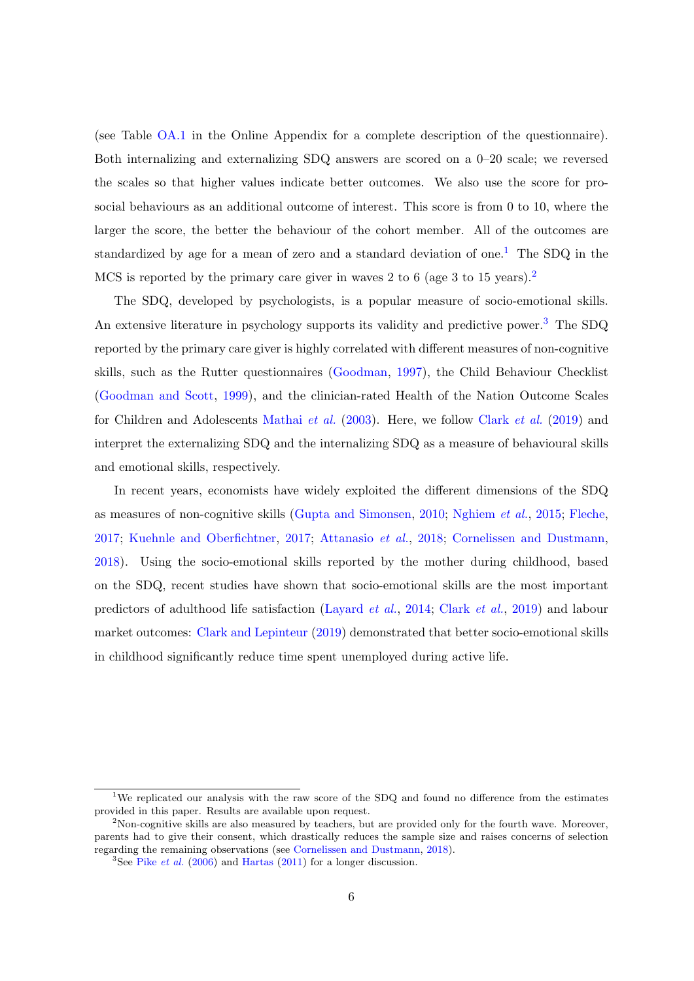(see Table [OA.1](#page-37-0) in the Online Appendix for a complete description of the questionnaire). Both internalizing and externalizing SDQ answers are scored on a 0–20 scale; we reversed the scales so that higher values indicate better outcomes. We also use the score for prosocial behaviours as an additional outcome of interest. This score is from 0 to 10, where the larger the score, the better the behaviour of the cohort member. All of the outcomes are standardized by age for a mean of zero and a standard deviation of one.<sup>[1](#page-6-0)</sup> The SDQ in the MCS is reported by the primary care giver in waves [2](#page-6-1) to 6 (age 3 to 15 years).<sup>2</sup>

The SDQ, developed by psychologists, is a popular measure of socio-emotional skills. An extensive literature in psychology supports its validity and predictive power.<sup>[3](#page-6-2)</sup> The SDQ reported by the primary care giver is highly correlated with different measures of non-cognitive skills, such as the Rutter questionnaires [\(Goodman,](#page-23-6) [1997\)](#page-23-6), the Child Behaviour Checklist [\(Goodman and Scott,](#page-23-7) [1999\)](#page-23-7), and the clinician-rated Health of the Nation Outcome Scales for Children and Adolescents [Mathai](#page-24-5) et al. [\(2003\)](#page-24-5). Here, we follow [Clark](#page-22-9) et al. [\(2019\)](#page-22-9) and interpret the externalizing SDQ and the internalizing SDQ as a measure of behavioural skills and emotional skills, respectively.

In recent years, economists have widely exploited the different dimensions of the SDQ as measures of non-cognitive skills [\(Gupta and Simonsen,](#page-24-6) [2010;](#page-24-6) [Nghiem](#page-25-6) et al., [2015;](#page-25-6) [Fleche,](#page-23-8) [2017;](#page-23-8) [Kuehnle and Oberfichtner,](#page-24-7) [2017;](#page-24-7) [Attanasio](#page-21-8) et al., [2018;](#page-21-8) [Cornelissen and Dustmann,](#page-22-10) [2018\)](#page-22-10). Using the socio-emotional skills reported by the mother during childhood, based on the SDQ, recent studies have shown that socio-emotional skills are the most important predictors of adulthood life satisfaction [\(Layard](#page-24-4) et al., [2014;](#page-24-4) [Clark](#page-22-9) et al., [2019\)](#page-22-9) and labour market outcomes: [Clark and Lepinteur](#page-22-8) [\(2019\)](#page-22-8) demonstrated that better socio-emotional skills in childhood significantly reduce time spent unemployed during active life.

<span id="page-6-0"></span><sup>&</sup>lt;sup>1</sup>We replicated our analysis with the raw score of the SDQ and found no difference from the estimates provided in this paper. Results are available upon request.

<span id="page-6-1"></span><sup>&</sup>lt;sup>2</sup>Non-cognitive skills are also measured by teachers, but are provided only for the fourth wave. Moreover, parents had to give their consent, which drastically reduces the sample size and raises concerns of selection regarding the remaining observations (see [Cornelissen and Dustmann,](#page-22-10) [2018\)](#page-22-10).

<span id="page-6-2"></span><sup>&</sup>lt;sup>3</sup>See Pike *[et al.](#page-25-7)* [\(2006\)](#page-25-7) and [Hartas](#page-24-8) [\(2011\)](#page-24-8) for a longer discussion.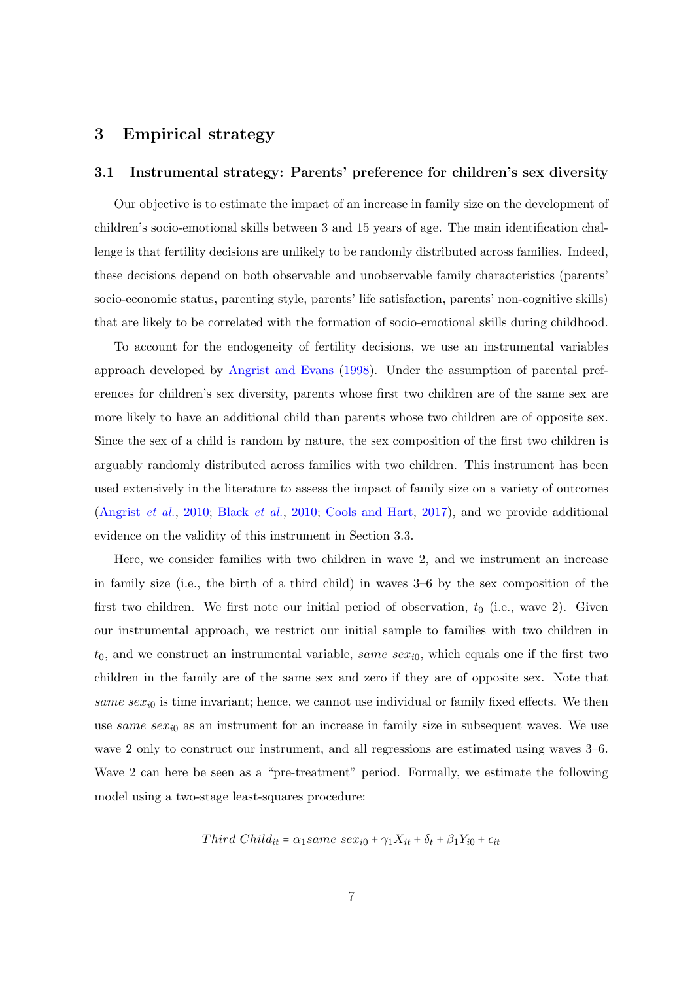#### 3 Empirical strategy

#### 3.1 Instrumental strategy: Parents' preference for children's sex diversity

Our objective is to estimate the impact of an increase in family size on the development of children's socio-emotional skills between 3 and 15 years of age. The main identification challenge is that fertility decisions are unlikely to be randomly distributed across families. Indeed, these decisions depend on both observable and unobservable family characteristics (parents' socio-economic status, parenting style, parents' life satisfaction, parents' non-cognitive skills) that are likely to be correlated with the formation of socio-emotional skills during childhood.

To account for the endogeneity of fertility decisions, we use an instrumental variables approach developed by [Angrist and Evans](#page-21-7) [\(1998\)](#page-21-7). Under the assumption of parental preferences for children's sex diversity, parents whose first two children are of the same sex are more likely to have an additional child than parents whose two children are of opposite sex. Since the sex of a child is random by nature, the sex composition of the first two children is arguably randomly distributed across families with two children. This instrument has been used extensively in the literature to assess the impact of family size on a variety of outcomes [\(Angrist](#page-21-5) et al., [2010;](#page-21-5) [Black](#page-22-7) et al., [2010;](#page-22-7) [Cools and Hart,](#page-22-11) [2017\)](#page-22-11), and we provide additional evidence on the validity of this instrument in Section 3.3.

Here, we consider families with two children in wave 2, and we instrument an increase in family size (i.e., the birth of a third child) in waves 3–6 by the sex composition of the first two children. We first note our initial period of observation,  $t_0$  (i.e., wave 2). Given our instrumental approach, we restrict our initial sample to families with two children in  $t_0$ , and we construct an instrumental variable, same sex<sub>i0</sub>, which equals one if the first two children in the family are of the same sex and zero if they are of opposite sex. Note that same  $sex_{i0}$  is time invariant; hence, we cannot use individual or family fixed effects. We then use same se $x_{i0}$  as an instrument for an increase in family size in subsequent waves. We use wave 2 only to construct our instrument, and all regressions are estimated using waves 3–6. Wave 2 can here be seen as a "pre-treatment" period. Formally, we estimate the following model using a two-stage least-squares procedure:

Third Child<sub>it</sub> = 
$$
\alpha_1
$$
same sex<sub>i0</sub> +  $\gamma_1 X_{it}$  +  $\delta_t$  +  $\beta_1 Y_{i0}$  +  $\epsilon_{it}$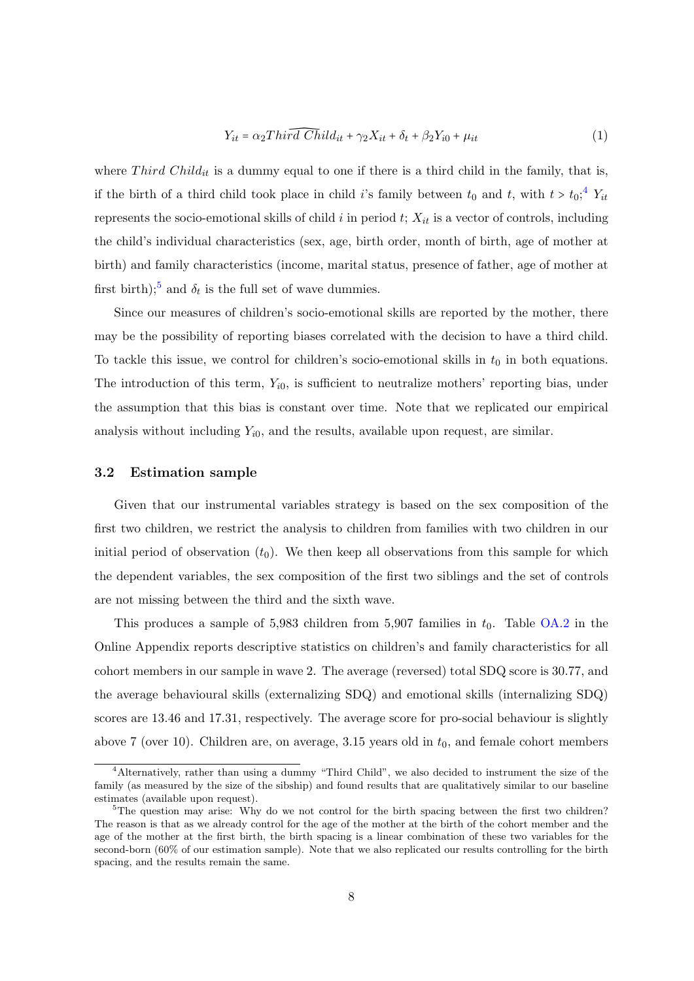<span id="page-8-2"></span>
$$
Y_{it} = \alpha_2 Thir\widehat{d Chil}d_{it} + \gamma_2 X_{it} + \delta_t + \beta_2 Y_{i0} + \mu_{it}
$$
\n<sup>(1)</sup>

where Third Child<sub>it</sub> is a dummy equal to one if there is a third child in the family, that is, if the birth of a third child took place in child i's family between  $t_0$  and  $t$ , with  $t > t_0$ ;<sup>[4](#page-8-0)</sup>  $Y_{it}$ represents the socio-emotional skills of child i in period  $t$ ;  $X_{it}$  is a vector of controls, including the child's individual characteristics (sex, age, birth order, month of birth, age of mother at birth) and family characteristics (income, marital status, presence of father, age of mother at first birth);<sup>[5](#page-8-1)</sup> and  $\delta_t$  is the full set of wave dummies.

Since our measures of children's socio-emotional skills are reported by the mother, there may be the possibility of reporting biases correlated with the decision to have a third child. To tackle this issue, we control for children's socio-emotional skills in  $t_0$  in both equations. The introduction of this term,  $Y_{i0}$ , is sufficient to neutralize mothers' reporting bias, under the assumption that this bias is constant over time. Note that we replicated our empirical analysis without including  $Y_{i0}$ , and the results, available upon request, are similar.

#### 3.2 Estimation sample

Given that our instrumental variables strategy is based on the sex composition of the first two children, we restrict the analysis to children from families with two children in our initial period of observation  $(t_0)$ . We then keep all observations from this sample for which the dependent variables, the sex composition of the first two siblings and the set of controls are not missing between the third and the sixth wave.

This produces a sample of 5,983 children from 5,907 families in  $t_0$ . Table [OA.2](#page-38-0) in the Online Appendix reports descriptive statistics on children's and family characteristics for all cohort members in our sample in wave 2. The average (reversed) total SDQ score is 30.77, and the average behavioural skills (externalizing SDQ) and emotional skills (internalizing SDQ) scores are 13.46 and 17.31, respectively. The average score for pro-social behaviour is slightly above 7 (over 10). Children are, on average, 3.15 years old in  $t_0$ , and female cohort members

<span id="page-8-0"></span><sup>4</sup>Alternatively, rather than using a dummy "Third Child", we also decided to instrument the size of the family (as measured by the size of the sibship) and found results that are qualitatively similar to our baseline estimates (available upon request).

<span id="page-8-1"></span><sup>&</sup>lt;sup>5</sup>The question may arise: Why do we not control for the birth spacing between the first two children? The reason is that as we already control for the age of the mother at the birth of the cohort member and the age of the mother at the first birth, the birth spacing is a linear combination of these two variables for the second-born (60% of our estimation sample). Note that we also replicated our results controlling for the birth spacing, and the results remain the same.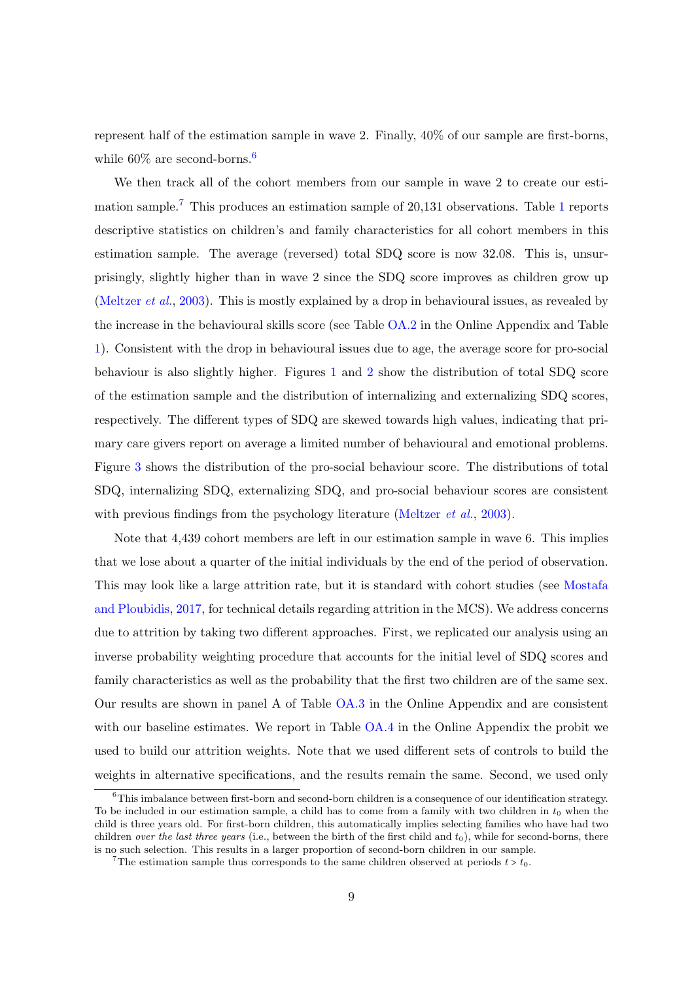represent half of the estimation sample in wave 2. Finally, 40% of our sample are first-borns, while  $60\%$  $60\%$  are second-borns.<sup>6</sup>

We then track all of the cohort members from our sample in wave 2 to create our estimation sample.[7](#page-9-1) This produces an estimation sample of 20,131 observations. Table [1](#page-29-0) reports descriptive statistics on children's and family characteristics for all cohort members in this estimation sample. The average (reversed) total SDQ score is now 32.08. This is, unsurprisingly, slightly higher than in wave 2 since the SDQ score improves as children grow up [\(Meltzer](#page-25-8) et al., [2003\)](#page-25-8). This is mostly explained by a drop in behavioural issues, as revealed by the increase in the behavioural skills score (see Table [OA.2](#page-38-0) in the Online Appendix and Table [1\)](#page-29-0). Consistent with the drop in behavioural issues due to age, the average score for pro-social behaviour is also slightly higher. Figures [1](#page-26-0) and [2](#page-27-0) show the distribution of total SDQ score of the estimation sample and the distribution of internalizing and externalizing SDQ scores, respectively. The different types of SDQ are skewed towards high values, indicating that primary care givers report on average a limited number of behavioural and emotional problems. Figure [3](#page-28-0) shows the distribution of the pro-social behaviour score. The distributions of total SDQ, internalizing SDQ, externalizing SDQ, and pro-social behaviour scores are consistent with previous findings from the psychology literature [\(Meltzer](#page-25-8) *et al.*, [2003\)](#page-25-8).

Note that 4,439 cohort members are left in our estimation sample in wave 6. This implies that we lose about a quarter of the initial individuals by the end of the period of observation. This may look like a large attrition rate, but it is standard with cohort studies (see [Mostafa](#page-25-9) [and Ploubidis,](#page-25-9) [2017,](#page-25-9) for technical details regarding attrition in the MCS). We address concerns due to attrition by taking two different approaches. First, we replicated our analysis using an inverse probability weighting procedure that accounts for the initial level of SDQ scores and family characteristics as well as the probability that the first two children are of the same sex. Our results are shown in panel A of Table [OA.3](#page-39-0) in the Online Appendix and are consistent with our baseline estimates. We report in Table [OA.4](#page-40-0) in the Online Appendix the probit we used to build our attrition weights. Note that we used different sets of controls to build the weights in alternative specifications, and the results remain the same. Second, we used only

<span id="page-9-0"></span> $6$ This imbalance between first-born and second-born children is a consequence of our identification strategy. To be included in our estimation sample, a child has to come from a family with two children in  $t_0$  when the child is three years old. For first-born children, this automatically implies selecting families who have had two children *over the last three years* (i.e., between the birth of the first child and  $t_0$ ), while for second-borns, there is no such selection. This results in a larger proportion of second-born children in our sample.

<span id="page-9-1"></span><sup>&</sup>lt;sup>7</sup>The estimation sample thus corresponds to the same children observed at periods  $t > t_0$ .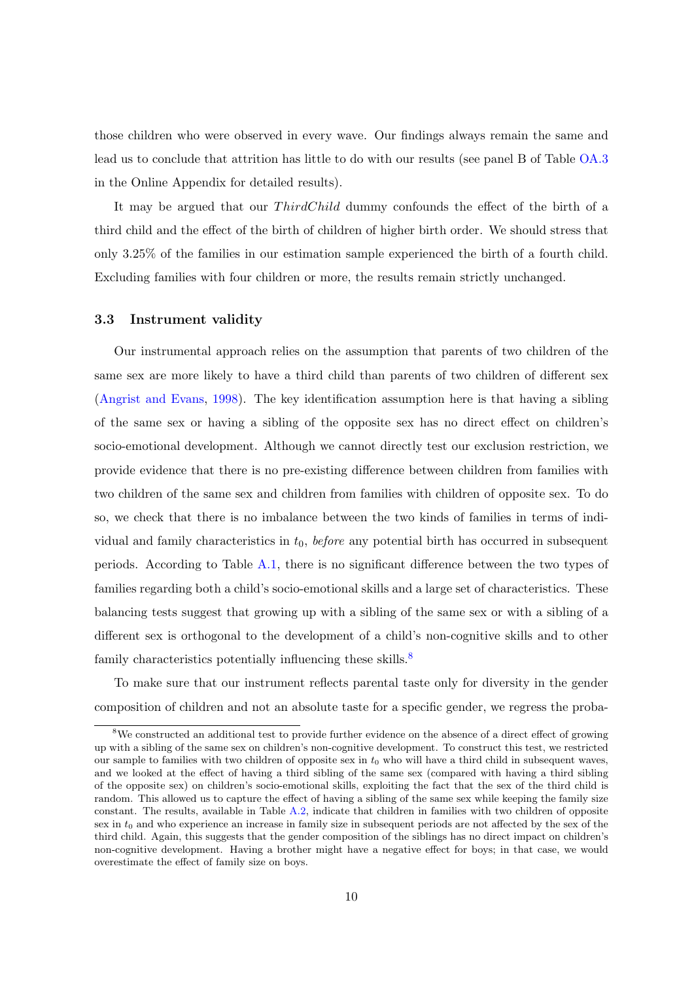those children who were observed in every wave. Our findings always remain the same and lead us to conclude that attrition has little to do with our results (see panel B of Table [OA.3](#page-39-0) in the Online Appendix for detailed results).

It may be argued that our *ThirdChild* dummy confounds the effect of the birth of a third child and the effect of the birth of children of higher birth order. We should stress that only 3.25% of the families in our estimation sample experienced the birth of a fourth child. Excluding families with four children or more, the results remain strictly unchanged.

#### <span id="page-10-1"></span>3.3 Instrument validity

Our instrumental approach relies on the assumption that parents of two children of the same sex are more likely to have a third child than parents of two children of different sex [\(Angrist and Evans,](#page-21-7) [1998\)](#page-21-7). The key identification assumption here is that having a sibling of the same sex or having a sibling of the opposite sex has no direct effect on children's socio-emotional development. Although we cannot directly test our exclusion restriction, we provide evidence that there is no pre-existing difference between children from families with two children of the same sex and children from families with children of opposite sex. To do so, we check that there is no imbalance between the two kinds of families in terms of individual and family characteristics in  $t_0$ , before any potential birth has occurred in subsequent periods. According to Table [A.1,](#page-33-0) there is no significant difference between the two types of families regarding both a child's socio-emotional skills and a large set of characteristics. These balancing tests suggest that growing up with a sibling of the same sex or with a sibling of a different sex is orthogonal to the development of a child's non-cognitive skills and to other family characteristics potentially influencing these skills.<sup>[8](#page-10-0)</sup>

To make sure that our instrument reflects parental taste only for diversity in the gender composition of children and not an absolute taste for a specific gender, we regress the proba-

<span id="page-10-0"></span><sup>8</sup>We constructed an additional test to provide further evidence on the absence of a direct effect of growing up with a sibling of the same sex on children's non-cognitive development. To construct this test, we restricted our sample to families with two children of opposite sex in  $t_0$  who will have a third child in subsequent waves, and we looked at the effect of having a third sibling of the same sex (compared with having a third sibling of the opposite sex) on children's socio-emotional skills, exploiting the fact that the sex of the third child is random. This allowed us to capture the effect of having a sibling of the same sex while keeping the family size constant. The results, available in Table  $A.2$ , indicate that children in families with two children of opposite sex in t<sub>0</sub> and who experience an increase in family size in subsequent periods are not affected by the sex of the third child. Again, this suggests that the gender composition of the siblings has no direct impact on children's non-cognitive development. Having a brother might have a negative effect for boys; in that case, we would overestimate the effect of family size on boys.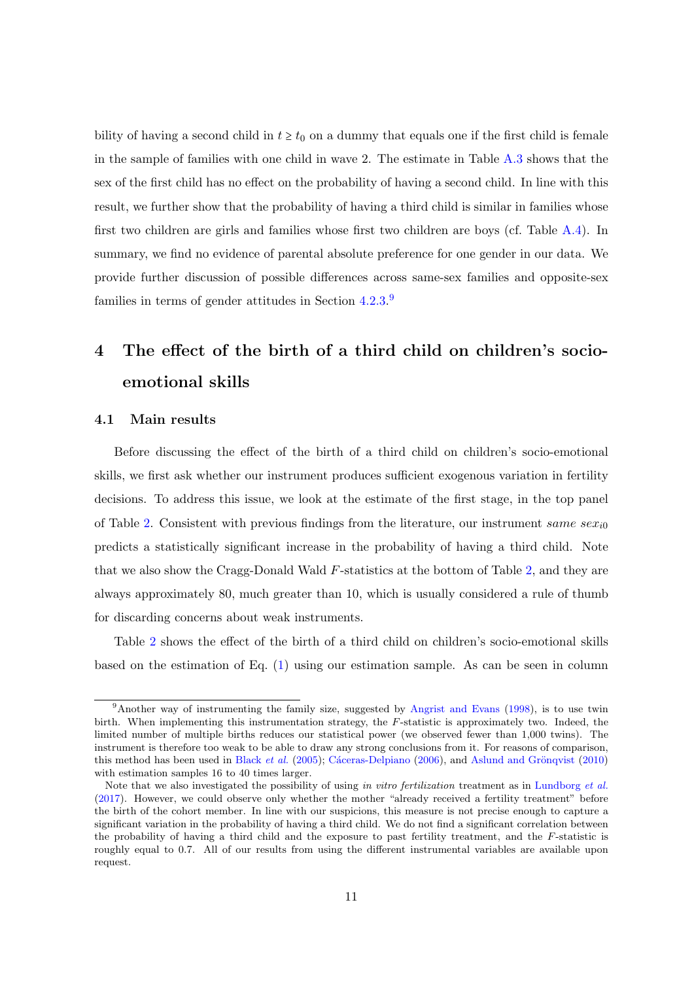bility of having a second child in  $t \geq t_0$  on a dummy that equals one if the first child is female in the sample of families with one child in wave 2. The estimate in Table [A.3](#page-34-1) shows that the sex of the first child has no effect on the probability of having a second child. In line with this result, we further show that the probability of having a third child is similar in families whose first two children are girls and families whose first two children are boys (cf. Table  $A.4$ ). In summary, we find no evidence of parental absolute preference for one gender in our data. We provide further discussion of possible differences across same-sex families and opposite-sex families in terms of gender attitudes in Section [4.2.3.](#page-15-0)<sup>[9](#page-11-0)</sup>

## 4 The effect of the birth of a third child on children's socioemotional skills

#### <span id="page-11-1"></span>4.1 Main results

Before discussing the effect of the birth of a third child on children's socio-emotional skills, we first ask whether our instrument produces sufficient exogenous variation in fertility decisions. To address this issue, we look at the estimate of the first stage, in the top panel of Table [2.](#page-30-0) Consistent with previous findings from the literature, our instrument same sex<sub>i0</sub> predicts a statistically significant increase in the probability of having a third child. Note that we also show the Cragg-Donald Wald F-statistics at the bottom of Table [2,](#page-30-0) and they are always approximately 80, much greater than 10, which is usually considered a rule of thumb for discarding concerns about weak instruments.

Table [2](#page-30-0) shows the effect of the birth of a third child on children's socio-emotional skills based on the estimation of Eq. [\(1\)](#page-8-2) using our estimation sample. As can be seen in column

<span id="page-11-0"></span><sup>9</sup>Another way of instrumenting the family size, suggested by [Angrist and Evans](#page-21-7) [\(1998\)](#page-21-7), is to use twin birth. When implementing this instrumentation strategy, the F-statistic is approximately two. Indeed, the limited number of multiple births reduces our statistical power (we observed fewer than 1,000 twins). The instrument is therefore too weak to be able to draw any strong conclusions from it. For reasons of comparison, this method has been used in [Black](#page-22-5) *et al.* [\(2005\)](#page-22-5); Cáceras-Delpiano [\(2006\)](#page-22-6), and Aslund and Grönqvist [\(2010\)](#page-21-6) with estimation samples 16 to 40 times larger.

Note that we also investigated the possibility of using in vitro fertilization treatment as in [Lundborg](#page-24-9) et al. [\(2017\)](#page-24-9). However, we could observe only whether the mother "already received a fertility treatment" before the birth of the cohort member. In line with our suspicions, this measure is not precise enough to capture a significant variation in the probability of having a third child. We do not find a significant correlation between the probability of having a third child and the exposure to past fertility treatment, and the F-statistic is roughly equal to 0.7. All of our results from using the different instrumental variables are available upon request.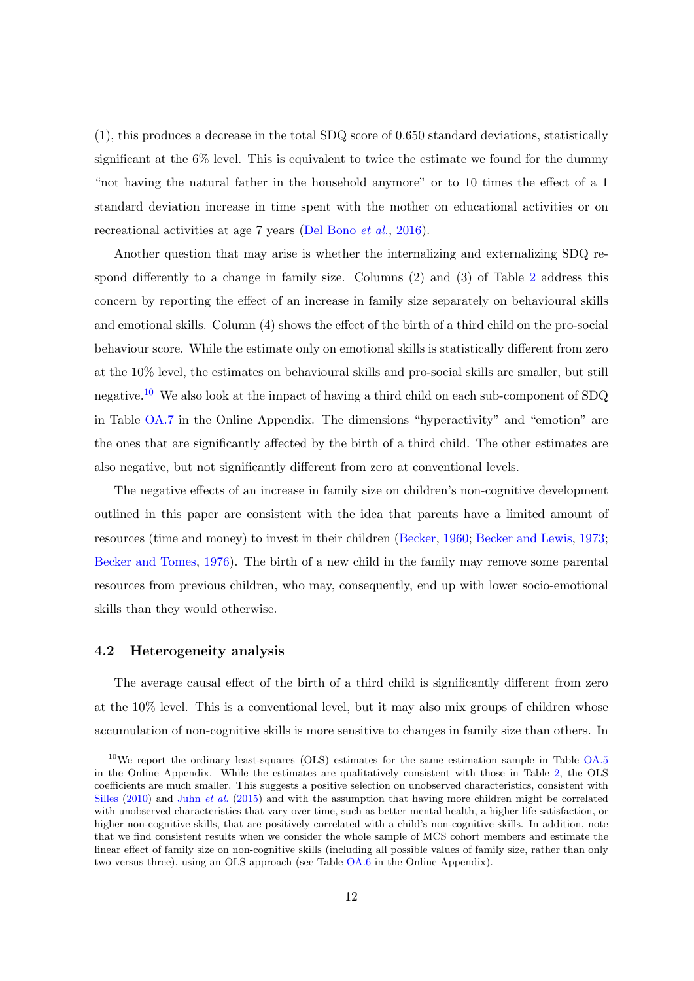(1), this produces a decrease in the total SDQ score of 0.650 standard deviations, statistically significant at the 6% level. This is equivalent to twice the estimate we found for the dummy "not having the natural father in the household anymore" or to 10 times the effect of a 1 standard deviation increase in time spent with the mother on educational activities or on recreational activities at age 7 years [\(Del Bono](#page-23-2) et al., [2016\)](#page-23-2).

Another question that may arise is whether the internalizing and externalizing SDQ respond differently to a change in family size. Columns (2) and (3) of Table [2](#page-30-0) address this concern by reporting the effect of an increase in family size separately on behavioural skills and emotional skills. Column (4) shows the effect of the birth of a third child on the pro-social behaviour score. While the estimate only on emotional skills is statistically different from zero at the 10% level, the estimates on behavioural skills and pro-social skills are smaller, but still negative.<sup>[10](#page-12-0)</sup> We also look at the impact of having a third child on each sub-component of SDQ in Table [OA.7](#page-41-0) in the Online Appendix. The dimensions "hyperactivity" and "emotion" are the ones that are significantly affected by the birth of a third child. The other estimates are also negative, but not significantly different from zero at conventional levels.

The negative effects of an increase in family size on children's non-cognitive development outlined in this paper are consistent with the idea that parents have a limited amount of resources (time and money) to invest in their children [\(Becker,](#page-21-1) [1960;](#page-21-1) [Becker and Lewis,](#page-21-2) [1973;](#page-21-2) [Becker and Tomes,](#page-21-3) [1976\)](#page-21-3). The birth of a new child in the family may remove some parental resources from previous children, who may, consequently, end up with lower socio-emotional skills than they would otherwise.

#### 4.2 Heterogeneity analysis

The average causal effect of the birth of a third child is significantly different from zero at the 10% level. This is a conventional level, but it may also mix groups of children whose accumulation of non-cognitive skills is more sensitive to changes in family size than others. In

<span id="page-12-0"></span> $10$ We report the ordinary least-squares (OLS) estimates for the same estimation sample in Table [OA.5](#page-40-1) in the Online Appendix. While the estimates are qualitatively consistent with those in Table [2,](#page-30-0) the OLS coefficients are much smaller. This suggests a positive selection on unobserved characteristics, consistent with [Silles](#page-25-5) [\(2010\)](#page-25-5) and Juhn [et al.](#page-24-3) [\(2015\)](#page-24-3) and with the assumption that having more children might be correlated with unobserved characteristics that vary over time, such as better mental health, a higher life satisfaction, or higher non-cognitive skills, that are positively correlated with a child's non-cognitive skills. In addition, note that we find consistent results when we consider the whole sample of MCS cohort members and estimate the linear effect of family size on non-cognitive skills (including all possible values of family size, rather than only two versus three), using an OLS approach (see Table [OA.6](#page-41-1) in the Online Appendix).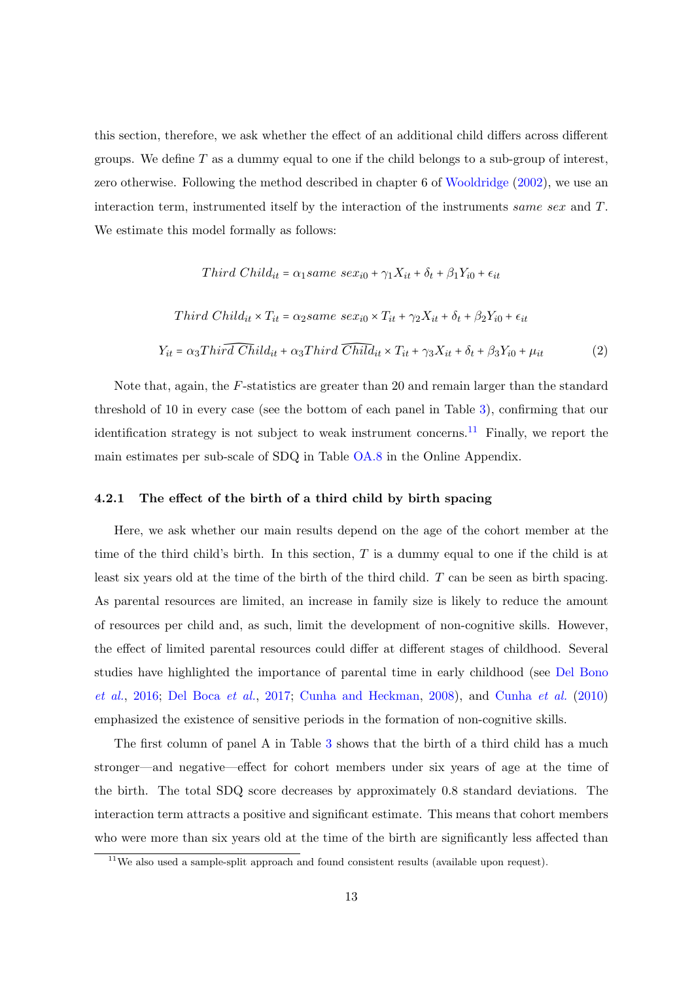this section, therefore, we ask whether the effect of an additional child differs across different groups. We define  $T$  as a dummy equal to one if the child belongs to a sub-group of interest, zero otherwise. Following the method described in chapter 6 of [Wooldridge](#page-25-10) [\(2002\)](#page-25-10), we use an interaction term, instrumented itself by the interaction of the instruments same sex and T. We estimate this model formally as follows:

Third Child<sub>it</sub> = 
$$
\alpha_1
$$
same sex<sub>i0</sub> +  $\gamma_1 X_{it}$  +  $\delta_t$  +  $\beta_1 Y_{i0}$  +  $\epsilon_{it}$   
\nThird Child<sub>it</sub> ×  $T_{it}$  =  $\alpha_2$ same sex<sub>i0</sub> ×  $T_{it}$  +  $\gamma_2 X_{it}$  +  $\delta_t$  +  $\beta_2 Y_{i0}$  +  $\epsilon_{it}$   
\n $Y_{it} = \alpha_3 \text{Third Child}_{it} + \alpha_3 \text{Third Child}_{it} \times T_{it} + \gamma_3 X_{it} + \delta_t + \beta_3 Y_{i0} + \mu_{it}$  (2)

Note that, again, the F-statistics are greater than 20 and remain larger than the standard threshold of 10 in every case (see the bottom of each panel in Table [3\)](#page-31-0), confirming that our identification strategy is not subject to weak instrument concerns.<sup>[11](#page-13-0)</sup> Finally, we report the main estimates per sub-scale of SDQ in Table [OA.8](#page-42-0) in the Online Appendix.

#### 4.2.1 The effect of the birth of a third child by birth spacing

Here, we ask whether our main results depend on the age of the cohort member at the time of the third child's birth. In this section,  $T$  is a dummy equal to one if the child is at least six years old at the time of the birth of the third child. T can be seen as birth spacing. As parental resources are limited, an increase in family size is likely to reduce the amount of resources per child and, as such, limit the development of non-cognitive skills. However, the effect of limited parental resources could differ at different stages of childhood. Several studies have highlighted the importance of parental time in early childhood (see [Del Bono](#page-23-2) [et al.](#page-23-2), [2016;](#page-23-2) [Del Boca](#page-23-9) et al., [2017;](#page-23-9) [Cunha and Heckman,](#page-23-10) [2008\)](#page-23-10), and [Cunha](#page-23-11) et al. [\(2010\)](#page-23-11) emphasized the existence of sensitive periods in the formation of non-cognitive skills.

The first column of panel A in Table [3](#page-31-0) shows that the birth of a third child has a much stronger—and negative—effect for cohort members under six years of age at the time of the birth. The total SDQ score decreases by approximately 0.8 standard deviations. The interaction term attracts a positive and significant estimate. This means that cohort members who were more than six years old at the time of the birth are significantly less affected than

<span id="page-13-0"></span> $11$ We also used a sample-split approach and found consistent results (available upon request).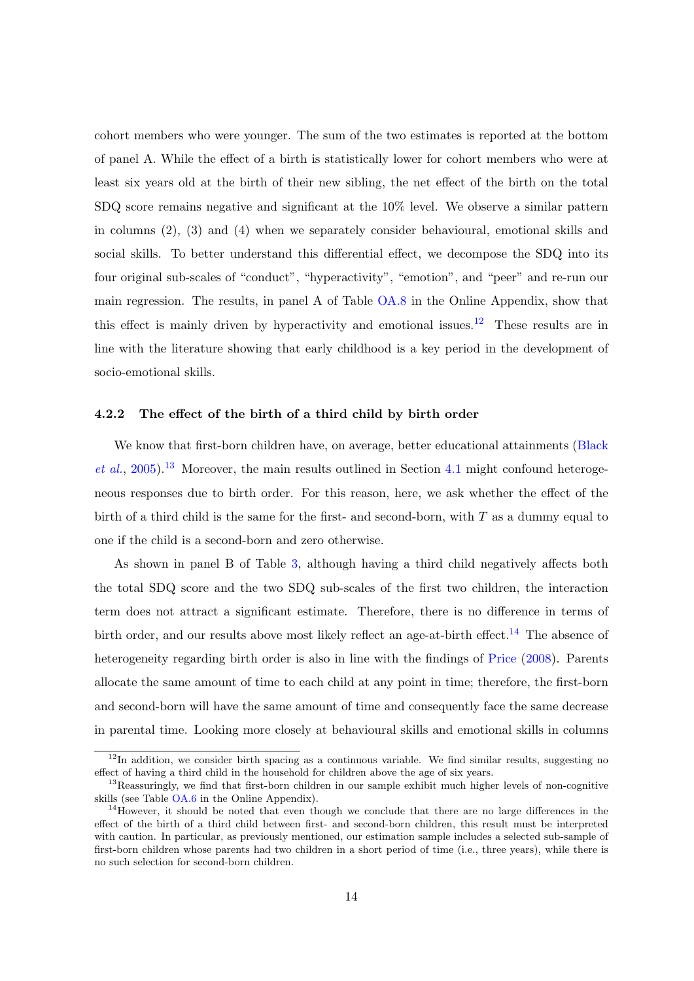cohort members who were younger. The sum of the two estimates is reported at the bottom of panel A. While the effect of a birth is statistically lower for cohort members who were at least six years old at the birth of their new sibling, the net effect of the birth on the total SDQ score remains negative and significant at the 10% level. We observe a similar pattern in columns (2), (3) and (4) when we separately consider behavioural, emotional skills and social skills. To better understand this differential effect, we decompose the SDQ into its four original sub-scales of "conduct", "hyperactivity", "emotion", and "peer" and re-run our main regression. The results, in panel A of Table [OA.8](#page-42-0) in the Online Appendix, show that this effect is mainly driven by hyperactivity and emotional issues.<sup>[12](#page-14-0)</sup> These results are in line with the literature showing that early childhood is a key period in the development of socio-emotional skills.

#### 4.2.2 The effect of the birth of a third child by birth order

We know that first-born children have, on average, better educational attainments [\(Black](#page-22-5) [et al.](#page-22-5), [2005\)](#page-22-5).<sup>[13](#page-14-1)</sup> Moreover, the main results outlined in Section [4.1](#page-11-1) might confound heterogeneous responses due to birth order. For this reason, here, we ask whether the effect of the birth of a third child is the same for the first- and second-born, with  $T$  as a dummy equal to one if the child is a second-born and zero otherwise.

As shown in panel B of Table [3,](#page-31-0) although having a third child negatively affects both the total SDQ score and the two SDQ sub-scales of the first two children, the interaction term does not attract a significant estimate. Therefore, there is no difference in terms of birth order, and our results above most likely reflect an age-at-birth effect.<sup>[14](#page-14-2)</sup> The absence of heterogeneity regarding birth order is also in line with the findings of [Price](#page-25-11) [\(2008\)](#page-25-11). Parents allocate the same amount of time to each child at any point in time; therefore, the first-born and second-born will have the same amount of time and consequently face the same decrease in parental time. Looking more closely at behavioural skills and emotional skills in columns

<span id="page-14-0"></span> $12$ In addition, we consider birth spacing as a continuous variable. We find similar results, suggesting no effect of having a third child in the household for children above the age of six years.

<span id="page-14-1"></span><sup>&</sup>lt;sup>13</sup>Reassuringly, we find that first-born children in our sample exhibit much higher levels of non-cognitive skills (see Table [OA.6](#page-41-1) in the Online Appendix).

<span id="page-14-2"></span> $14$ However, it should be noted that even though we conclude that there are no large differences in the effect of the birth of a third child between first- and second-born children, this result must be interpreted with caution. In particular, as previously mentioned, our estimation sample includes a selected sub-sample of first-born children whose parents had two children in a short period of time (i.e., three years), while there is no such selection for second-born children.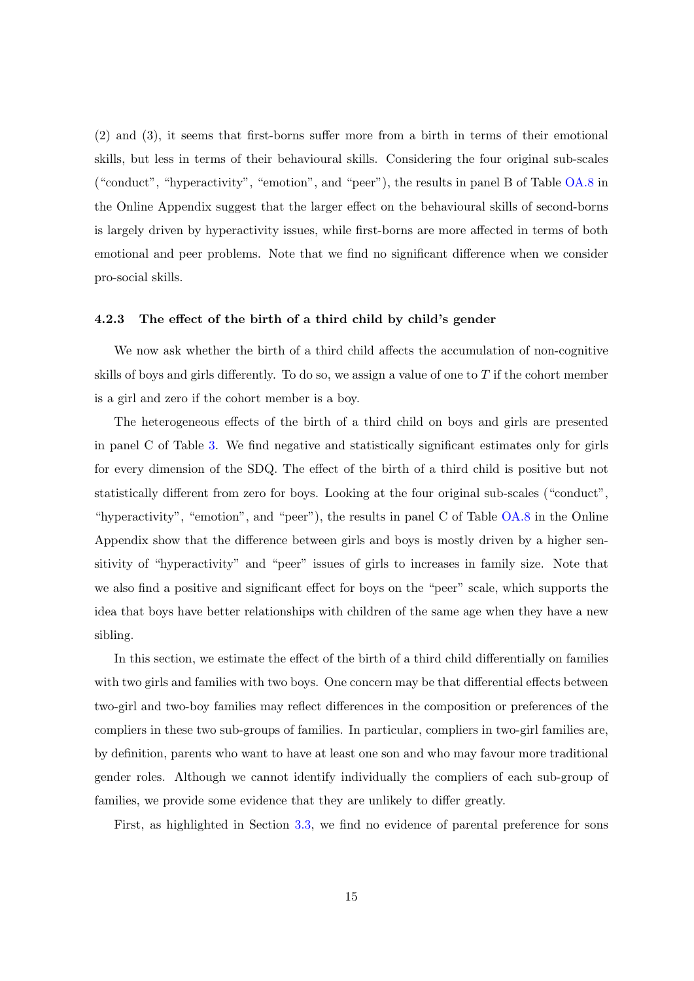(2) and (3), it seems that first-borns suffer more from a birth in terms of their emotional skills, but less in terms of their behavioural skills. Considering the four original sub-scales ("conduct", "hyperactivity", "emotion", and "peer"), the results in panel B of Table [OA.8](#page-42-0) in the Online Appendix suggest that the larger effect on the behavioural skills of second-borns is largely driven by hyperactivity issues, while first-borns are more affected in terms of both emotional and peer problems. Note that we find no significant difference when we consider pro-social skills.

#### <span id="page-15-0"></span>4.2.3 The effect of the birth of a third child by child's gender

We now ask whether the birth of a third child affects the accumulation of non-cognitive skills of boys and girls differently. To do so, we assign a value of one to  $T$  if the cohort member is a girl and zero if the cohort member is a boy.

The heterogeneous effects of the birth of a third child on boys and girls are presented in panel C of Table [3.](#page-31-0) We find negative and statistically significant estimates only for girls for every dimension of the SDQ. The effect of the birth of a third child is positive but not statistically different from zero for boys. Looking at the four original sub-scales ("conduct", "hyperactivity", "emotion", and "peer"), the results in panel C of Table [OA.8](#page-42-0) in the Online Appendix show that the difference between girls and boys is mostly driven by a higher sensitivity of "hyperactivity" and "peer" issues of girls to increases in family size. Note that we also find a positive and significant effect for boys on the "peer" scale, which supports the idea that boys have better relationships with children of the same age when they have a new sibling.

In this section, we estimate the effect of the birth of a third child differentially on families with two girls and families with two boys. One concern may be that differential effects between two-girl and two-boy families may reflect differences in the composition or preferences of the compliers in these two sub-groups of families. In particular, compliers in two-girl families are, by definition, parents who want to have at least one son and who may favour more traditional gender roles. Although we cannot identify individually the compliers of each sub-group of families, we provide some evidence that they are unlikely to differ greatly.

First, as highlighted in Section [3.3,](#page-10-1) we find no evidence of parental preference for sons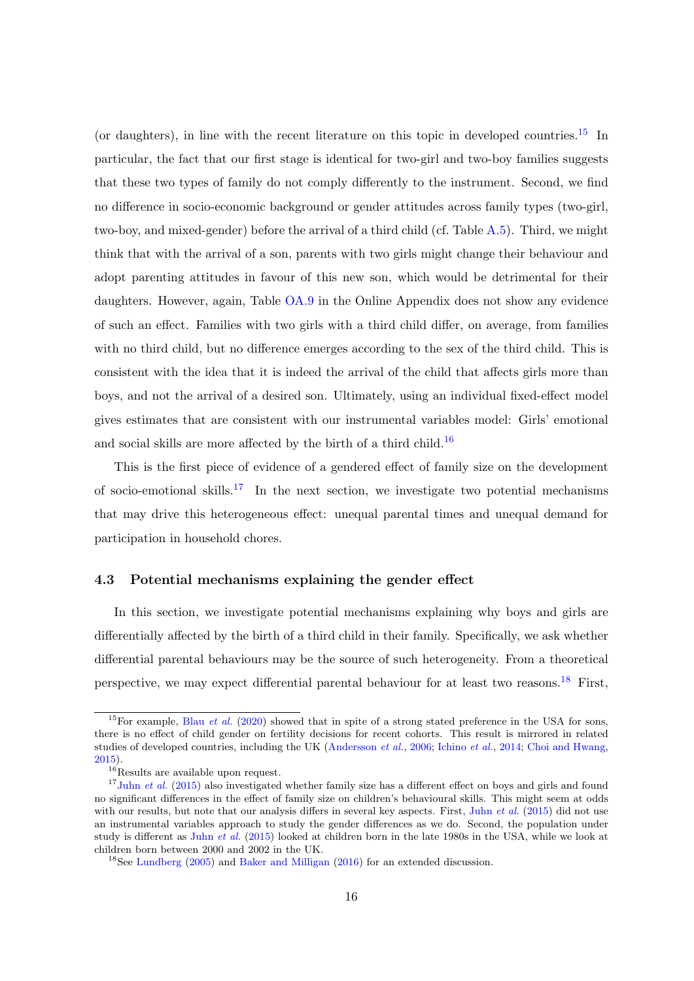(or daughters), in line with the recent literature on this topic in developed countries.<sup>[15](#page-16-0)</sup> In particular, the fact that our first stage is identical for two-girl and two-boy families suggests that these two types of family do not comply differently to the instrument. Second, we find no difference in socio-economic background or gender attitudes across family types (two-girl, two-boy, and mixed-gender) before the arrival of a third child (cf. Table [A.5\)](#page-36-0). Third, we might think that with the arrival of a son, parents with two girls might change their behaviour and adopt parenting attitudes in favour of this new son, which would be detrimental for their daughters. However, again, Table [OA.9](#page-43-0) in the Online Appendix does not show any evidence of such an effect. Families with two girls with a third child differ, on average, from families with no third child, but no difference emerges according to the sex of the third child. This is consistent with the idea that it is indeed the arrival of the child that affects girls more than boys, and not the arrival of a desired son. Ultimately, using an individual fixed-effect model gives estimates that are consistent with our instrumental variables model: Girls' emotional and social skills are more affected by the birth of a third child.<sup>[16](#page-16-1)</sup>

This is the first piece of evidence of a gendered effect of family size on the development of socio-emotional skills.<sup>[17](#page-16-2)</sup> In the next section, we investigate two potential mechanisms that may drive this heterogeneous effect: unequal parental times and unequal demand for participation in household chores.

#### 4.3 Potential mechanisms explaining the gender effect

In this section, we investigate potential mechanisms explaining why boys and girls are differentially affected by the birth of a third child in their family. Specifically, we ask whether differential parental behaviours may be the source of such heterogeneity. From a theoretical perspective, we may expect differential parental behaviour for at least two reasons.<sup>[18](#page-16-3)</sup> First,

<span id="page-16-0"></span><sup>&</sup>lt;sup>15</sup>For example, Blau *[et al.](#page-22-12)* [\(2020\)](#page-22-12) showed that in spite of a strong stated preference in the USA for sons, there is no effect of child gender on fertility decisions for recent cohorts. This result is mirrored in related studies of developed countries, including the UK [\(Andersson](#page-21-9) et al., [2006;](#page-21-9) [Ichino](#page-24-10) et al., [2014;](#page-24-10) [Choi and Hwang,](#page-22-13) [2015\)](#page-22-13).

<span id="page-16-2"></span><span id="page-16-1"></span> $16$ <sup>16</sup>Results are available upon request.

 $17$ Juhn *[et al.](#page-24-3)* [\(2015\)](#page-24-3) also investigated whether family size has a different effect on boys and girls and found no significant differences in the effect of family size on children's behavioural skills. This might seem at odds with our results, but note that our analysis differs in several key aspects. First, Juhn *[et al.](#page-24-3)* [\(2015\)](#page-24-3) did not use an instrumental variables approach to study the gender differences as we do. Second, the population under study is different as Juhn [et al.](#page-24-3) [\(2015\)](#page-24-3) looked at children born in the late 1980s in the USA, while we look at children born between 2000 and 2002 in the UK.

<span id="page-16-3"></span><sup>18</sup>See [Lundberg](#page-24-11) [\(2005\)](#page-24-11) and [Baker and Milligan](#page-21-10) [\(2016\)](#page-21-10) for an extended discussion.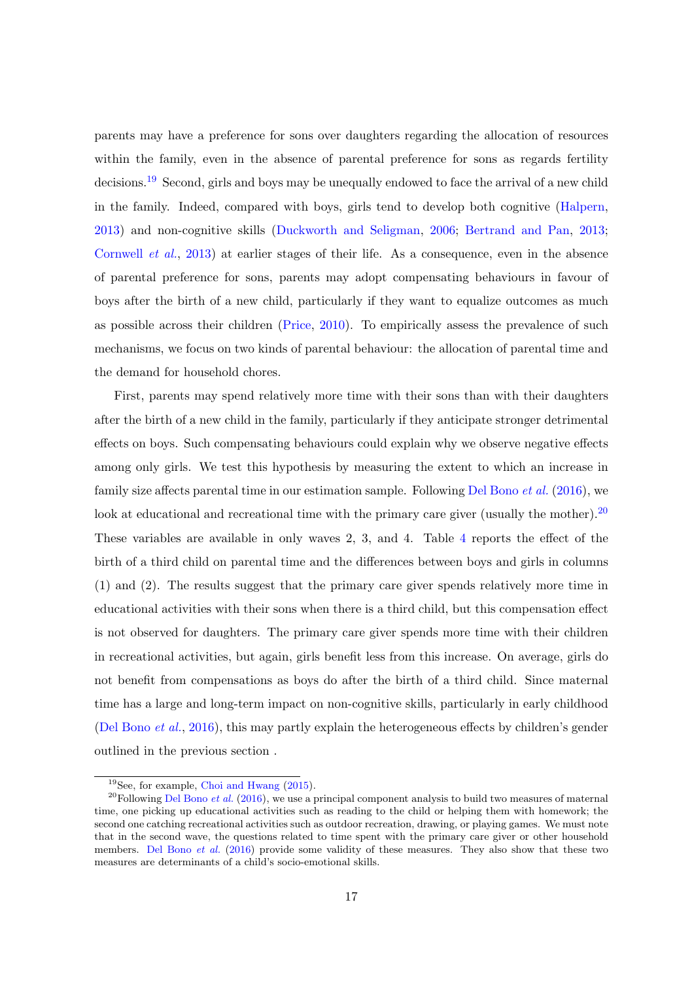parents may have a preference for sons over daughters regarding the allocation of resources within the family, even in the absence of parental preference for sons as regards fertility decisions.<sup>[19](#page-17-0)</sup> Second, girls and boys may be unequally endowed to face the arrival of a new child in the family. Indeed, compared with boys, girls tend to develop both cognitive [\(Halpern,](#page-24-12) [2013\)](#page-24-12) and non-cognitive skills [\(Duckworth and Seligman,](#page-23-12) [2006;](#page-23-12) [Bertrand and Pan,](#page-21-11) [2013;](#page-21-11) [Cornwell](#page-22-14) et al., [2013\)](#page-22-14) at earlier stages of their life. As a consequence, even in the absence of parental preference for sons, parents may adopt compensating behaviours in favour of boys after the birth of a new child, particularly if they want to equalize outcomes as much as possible across their children [\(Price,](#page-25-12) [2010\)](#page-25-12). To empirically assess the prevalence of such mechanisms, we focus on two kinds of parental behaviour: the allocation of parental time and the demand for household chores.

First, parents may spend relatively more time with their sons than with their daughters after the birth of a new child in the family, particularly if they anticipate stronger detrimental effects on boys. Such compensating behaviours could explain why we observe negative effects among only girls. We test this hypothesis by measuring the extent to which an increase in family size affects parental time in our estimation sample. Following [Del Bono](#page-23-2) *et al.* [\(2016\)](#page-23-2), we look at educational and recreational time with the primary care giver (usually the mother).<sup>[20](#page-17-1)</sup> These variables are available in only waves 2, 3, and 4. Table [4](#page-32-0) reports the effect of the birth of a third child on parental time and the differences between boys and girls in columns (1) and (2). The results suggest that the primary care giver spends relatively more time in educational activities with their sons when there is a third child, but this compensation effect is not observed for daughters. The primary care giver spends more time with their children in recreational activities, but again, girls benefit less from this increase. On average, girls do not benefit from compensations as boys do after the birth of a third child. Since maternal time has a large and long-term impact on non-cognitive skills, particularly in early childhood [\(Del Bono](#page-23-2) et al., [2016\)](#page-23-2), this may partly explain the heterogeneous effects by children's gender outlined in the previous section .

<span id="page-17-1"></span><span id="page-17-0"></span><sup>19</sup>See, for example, [Choi and Hwang](#page-22-13) [\(2015\)](#page-22-13).

 $^{20}$ Following [Del Bono](#page-23-2) *et al.* [\(2016\)](#page-23-2), we use a principal component analysis to build two measures of maternal time, one picking up educational activities such as reading to the child or helping them with homework; the second one catching recreational activities such as outdoor recreation, drawing, or playing games. We must note that in the second wave, the questions related to time spent with the primary care giver or other household members. [Del Bono](#page-23-2) *et al.* [\(2016\)](#page-23-2) provide some validity of these measures. They also show that these two measures are determinants of a child's socio-emotional skills.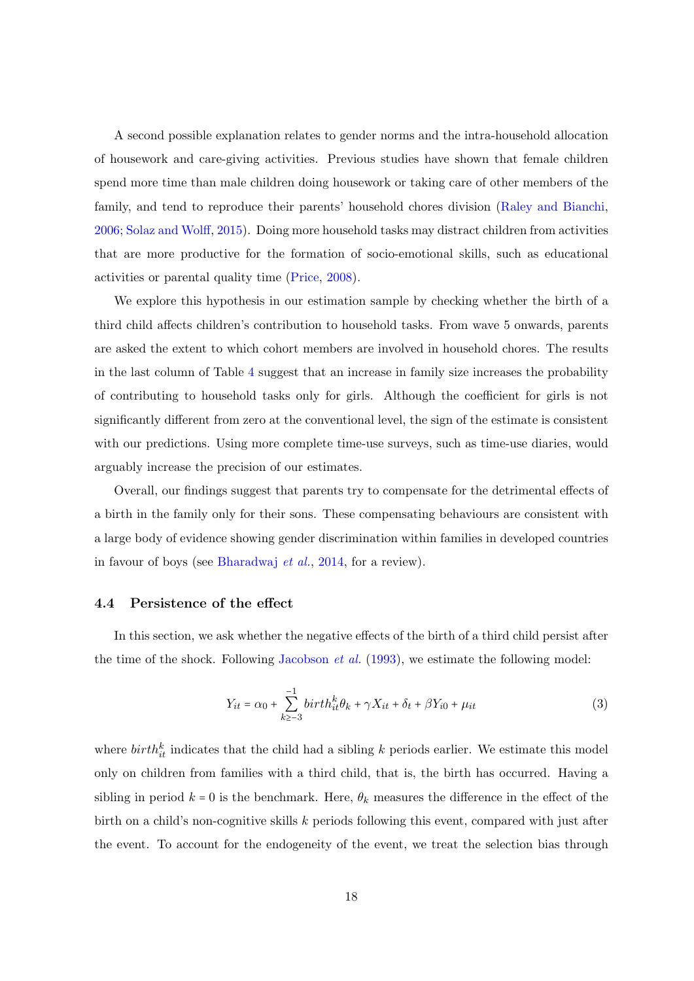A second possible explanation relates to gender norms and the intra-household allocation of housework and care-giving activities. Previous studies have shown that female children spend more time than male children doing housework or taking care of other members of the family, and tend to reproduce their parents' household chores division [\(Raley and Bianchi,](#page-25-13) [2006;](#page-25-13) [Solaz and Wolff,](#page-25-14) [2015\)](#page-25-14). Doing more household tasks may distract children from activities that are more productive for the formation of socio-emotional skills, such as educational activities or parental quality time [\(Price,](#page-25-11) [2008\)](#page-25-11).

We explore this hypothesis in our estimation sample by checking whether the birth of a third child affects children's contribution to household tasks. From wave 5 onwards, parents are asked the extent to which cohort members are involved in household chores. The results in the last column of Table [4](#page-32-0) suggest that an increase in family size increases the probability of contributing to household tasks only for girls. Although the coefficient for girls is not significantly different from zero at the conventional level, the sign of the estimate is consistent with our predictions. Using more complete time-use surveys, such as time-use diaries, would arguably increase the precision of our estimates.

Overall, our findings suggest that parents try to compensate for the detrimental effects of a birth in the family only for their sons. These compensating behaviours are consistent with a large body of evidence showing gender discrimination within families in developed countries in favour of boys (see [Bharadwaj](#page-21-12) et al., [2014,](#page-21-12) for a review).

#### 4.4 Persistence of the effect

In this section, we ask whether the negative effects of the birth of a third child persist after the time of the shock. Following [Jacobson](#page-24-13) *et al.*  $(1993)$ , we estimate the following model:

<span id="page-18-0"></span>
$$
Y_{it} = \alpha_0 + \sum_{k \ge -3}^{-1} birth_{it}^k \theta_k + \gamma X_{it} + \delta_t + \beta Y_{i0} + \mu_{it}
$$
 (3)

where  $birth_{it}^{k}$  indicates that the child had a sibling k periods earlier. We estimate this model only on children from families with a third child, that is, the birth has occurred. Having a sibling in period  $k = 0$  is the benchmark. Here,  $\theta_k$  measures the difference in the effect of the birth on a child's non-cognitive skills k periods following this event, compared with just after the event. To account for the endogeneity of the event, we treat the selection bias through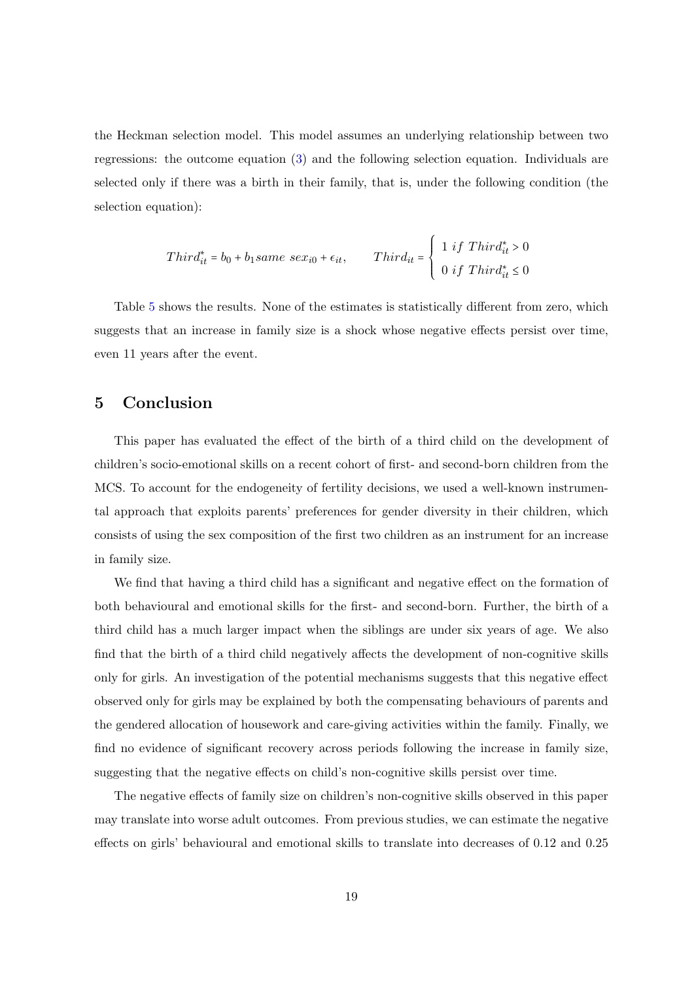the Heckman selection model. This model assumes an underlying relationship between two regressions: the outcome equation [\(3\)](#page-18-0) and the following selection equation. Individuals are selected only if there was a birth in their family, that is, under the following condition (the selection equation):

$$
Third_{it}^* = b_0 + b_1 same \ sex_{i0} + \epsilon_{it}, \qquad Third_{it} = \begin{cases} 1 \ if \ Third_{it}^* > 0 \\ 0 \ if \ Third_{it}^* \le 0 \end{cases}
$$

Table [5](#page-32-1) shows the results. None of the estimates is statistically different from zero, which suggests that an increase in family size is a shock whose negative effects persist over time, even 11 years after the event.

#### 5 Conclusion

This paper has evaluated the effect of the birth of a third child on the development of children's socio-emotional skills on a recent cohort of first- and second-born children from the MCS. To account for the endogeneity of fertility decisions, we used a well-known instrumental approach that exploits parents' preferences for gender diversity in their children, which consists of using the sex composition of the first two children as an instrument for an increase in family size.

We find that having a third child has a significant and negative effect on the formation of both behavioural and emotional skills for the first- and second-born. Further, the birth of a third child has a much larger impact when the siblings are under six years of age. We also find that the birth of a third child negatively affects the development of non-cognitive skills only for girls. An investigation of the potential mechanisms suggests that this negative effect observed only for girls may be explained by both the compensating behaviours of parents and the gendered allocation of housework and care-giving activities within the family. Finally, we find no evidence of significant recovery across periods following the increase in family size, suggesting that the negative effects on child's non-cognitive skills persist over time.

The negative effects of family size on children's non-cognitive skills observed in this paper may translate into worse adult outcomes. From previous studies, we can estimate the negative effects on girls' behavioural and emotional skills to translate into decreases of 0.12 and 0.25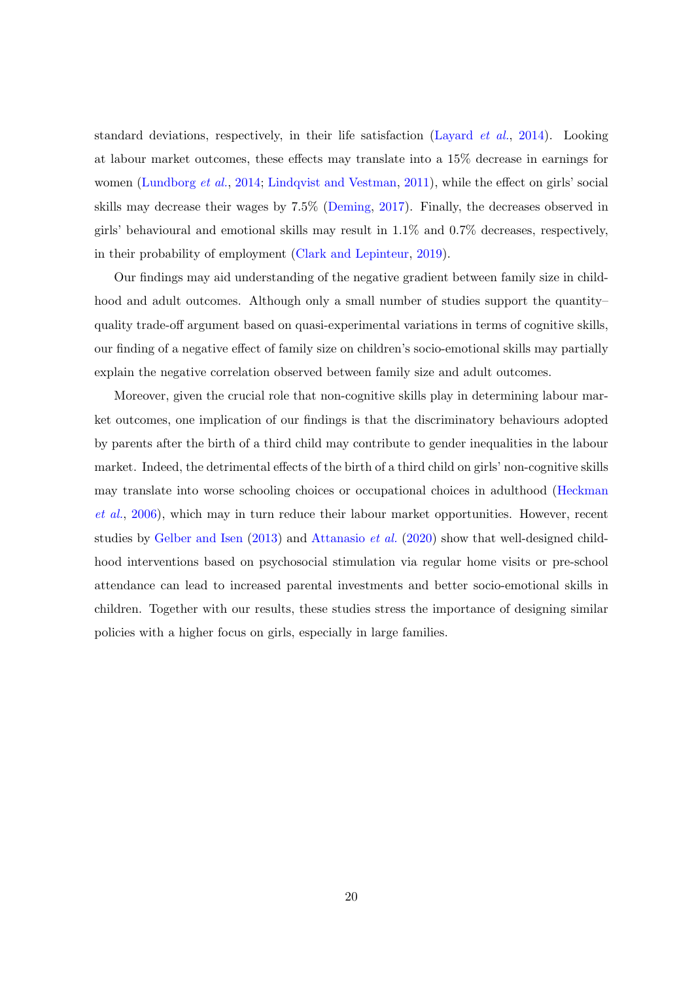standard deviations, respectively, in their life satisfaction [\(Layard](#page-24-4) et al., [2014\)](#page-24-4). Looking at labour market outcomes, these effects may translate into a 15% decrease in earnings for women [\(Lundborg](#page-24-14) *et al.*, [2014;](#page-24-14) [Lindqvist and Vestman,](#page-24-1) [2011\)](#page-24-1), while the effect on girls' social skills may decrease their wages by 7.5% [\(Deming,](#page-23-1) [2017\)](#page-23-1). Finally, the decreases observed in girls' behavioural and emotional skills may result in 1.1% and 0.7% decreases, respectively, in their probability of employment [\(Clark and Lepinteur,](#page-22-8) [2019\)](#page-22-8).

Our findings may aid understanding of the negative gradient between family size in childhood and adult outcomes. Although only a small number of studies support the quantity– quality trade-off argument based on quasi-experimental variations in terms of cognitive skills, our finding of a negative effect of family size on children's socio-emotional skills may partially explain the negative correlation observed between family size and adult outcomes.

Moreover, given the crucial role that non-cognitive skills play in determining labour market outcomes, one implication of our findings is that the discriminatory behaviours adopted by parents after the birth of a third child may contribute to gender inequalities in the labour market. Indeed, the detrimental effects of the birth of a third child on girls' non-cognitive skills may translate into worse schooling choices or occupational choices in adulthood [\(Heckman](#page-24-0) [et al.](#page-24-0), [2006\)](#page-24-0), which may in turn reduce their labour market opportunities. However, recent studies by [Gelber and Isen](#page-23-13)  $(2013)$  and [Attanasio](#page-21-13) *et al.*  $(2020)$  show that well-designed childhood interventions based on psychosocial stimulation via regular home visits or pre-school attendance can lead to increased parental investments and better socio-emotional skills in children. Together with our results, these studies stress the importance of designing similar policies with a higher focus on girls, especially in large families.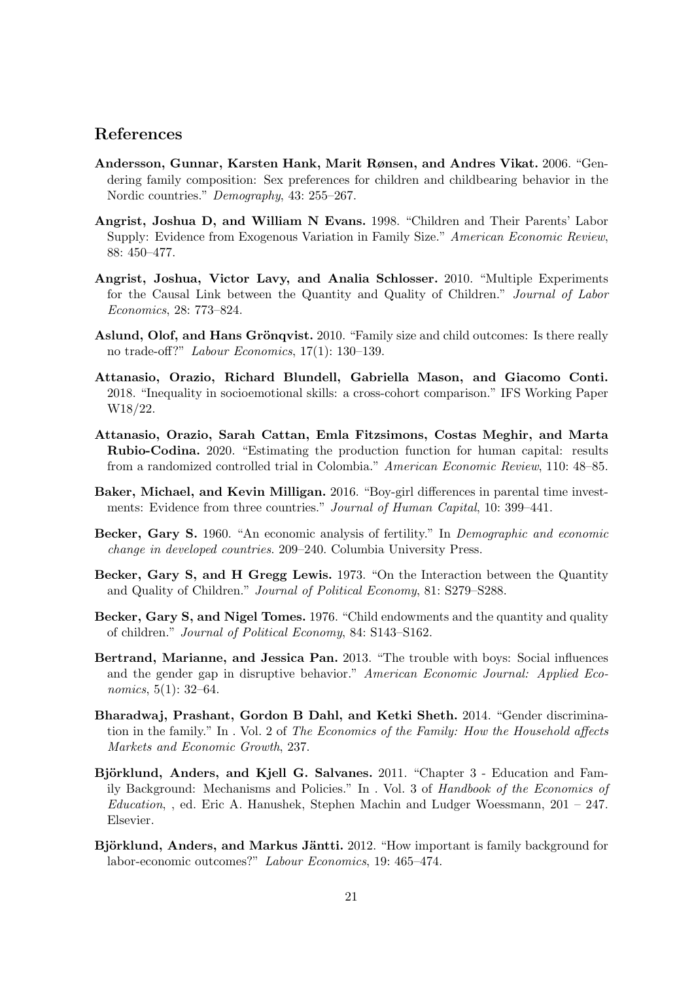#### References

- <span id="page-21-9"></span>Andersson, Gunnar, Karsten Hank, Marit Rønsen, and Andres Vikat. 2006. "Gendering family composition: Sex preferences for children and childbearing behavior in the Nordic countries." Demography, 43: 255–267.
- <span id="page-21-7"></span>Angrist, Joshua D, and William N Evans. 1998. "Children and Their Parents' Labor Supply: Evidence from Exogenous Variation in Family Size." American Economic Review, 88: 450–477.
- <span id="page-21-5"></span>Angrist, Joshua, Victor Lavy, and Analia Schlosser. 2010. "Multiple Experiments for the Causal Link between the Quantity and Quality of Children." Journal of Labor Economics, 28: 773–824.
- <span id="page-21-6"></span>Aslund, Olof, and Hans Grönqvist. 2010. "Family size and child outcomes: Is there really no trade-off?" Labour Economics, 17(1): 130–139.
- <span id="page-21-8"></span>Attanasio, Orazio, Richard Blundell, Gabriella Mason, and Giacomo Conti. 2018. "Inequality in socioemotional skills: a cross-cohort comparison." IFS Working Paper W18/22.
- <span id="page-21-13"></span>Attanasio, Orazio, Sarah Cattan, Emla Fitzsimons, Costas Meghir, and Marta Rubio-Codina. 2020. "Estimating the production function for human capital: results from a randomized controlled trial in Colombia." American Economic Review, 110: 48–85.
- <span id="page-21-10"></span>Baker, Michael, and Kevin Milligan. 2016. "Boy-girl differences in parental time investments: Evidence from three countries." Journal of Human Capital, 10: 399–441.
- <span id="page-21-1"></span>Becker, Gary S. 1960. "An economic analysis of fertility." In Demographic and economic change in developed countries. 209–240. Columbia University Press.
- <span id="page-21-2"></span>Becker, Gary S, and H Gregg Lewis. 1973. "On the Interaction between the Quantity and Quality of Children." Journal of Political Economy, 81: S279–S288.
- <span id="page-21-3"></span>Becker, Gary S, and Nigel Tomes. 1976. "Child endowments and the quantity and quality of children." Journal of Political Economy, 84: S143–S162.
- <span id="page-21-11"></span>Bertrand, Marianne, and Jessica Pan. 2013. "The trouble with boys: Social influences and the gender gap in disruptive behavior." American Economic Journal: Applied Economics, 5(1): 32–64.
- <span id="page-21-12"></span>Bharadwaj, Prashant, Gordon B Dahl, and Ketki Sheth. 2014. "Gender discrimination in the family." In . Vol. 2 of The Economics of the Family: How the Household affects Markets and Economic Growth, 237.
- <span id="page-21-4"></span>Björklund, Anders, and Kjell G. Salvanes. 2011. "Chapter 3 - Education and Family Background: Mechanisms and Policies." In . Vol. 3 of Handbook of the Economics of  $Education,$ , ed. Eric A. Hanushek, Stephen Machin and Ludger Woessmann, 201 – 247. Elsevier.
- <span id="page-21-0"></span>Björklund, Anders, and Markus Jäntti. 2012. "How important is family background for labor-economic outcomes?" Labour Economics, 19: 465–474.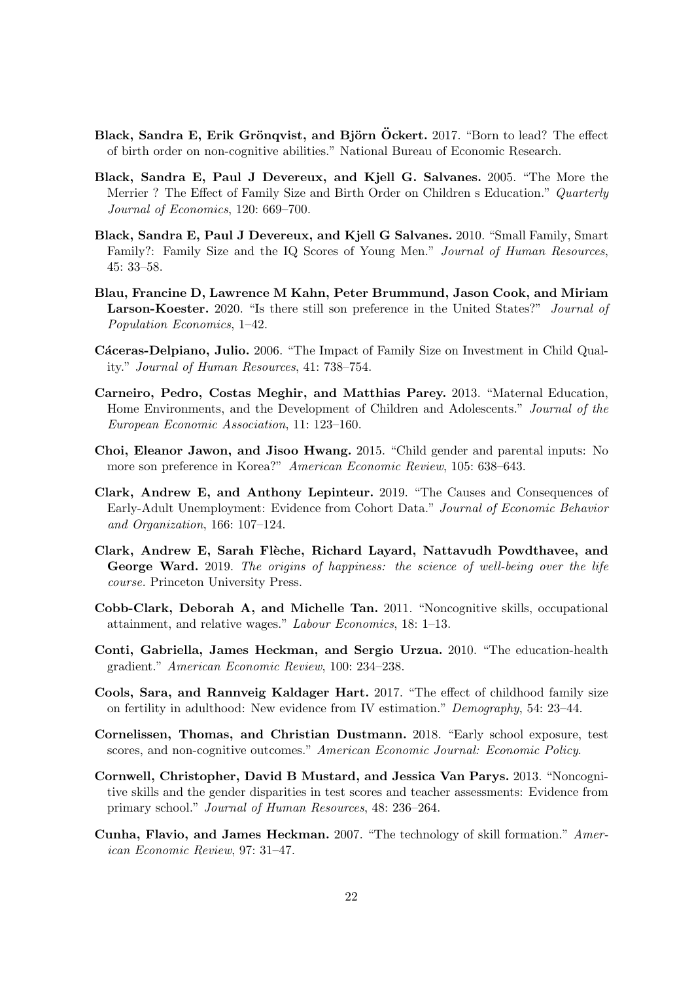- <span id="page-22-4"></span>Black, Sandra E, Erik Grönqvist, and Björn Öckert. 2017. "Born to lead? The effect of birth order on non-cognitive abilities." National Bureau of Economic Research.
- <span id="page-22-5"></span>Black, Sandra E, Paul J Devereux, and Kjell G. Salvanes. 2005. "The More the Merrier? The Effect of Family Size and Birth Order on Children s Education." *Quarterly* Journal of Economics, 120: 669–700.
- <span id="page-22-7"></span>Black, Sandra E, Paul J Devereux, and Kjell G Salvanes. 2010. "Small Family, Smart Family?: Family Size and the IQ Scores of Young Men." Journal of Human Resources, 45: 33–58.
- <span id="page-22-12"></span>Blau, Francine D, Lawrence M Kahn, Peter Brummund, Jason Cook, and Miriam Larson-Koester. 2020. "Is there still son preference in the United States?" Journal of Population Economics, 1–42.
- <span id="page-22-6"></span>Cáceras-Delpiano, Julio. 2006. "The Impact of Family Size on Investment in Child Quality." Journal of Human Resources, 41: 738–754.
- <span id="page-22-3"></span>Carneiro, Pedro, Costas Meghir, and Matthias Parey. 2013. "Maternal Education, Home Environments, and the Development of Children and Adolescents." Journal of the European Economic Association, 11: 123–160.
- <span id="page-22-13"></span>Choi, Eleanor Jawon, and Jisoo Hwang. 2015. "Child gender and parental inputs: No more son preference in Korea?" American Economic Review, 105: 638–643.
- <span id="page-22-8"></span>Clark, Andrew E, and Anthony Lepinteur. 2019. "The Causes and Consequences of Early-Adult Unemployment: Evidence from Cohort Data." Journal of Economic Behavior and Organization, 166: 107–124.
- <span id="page-22-9"></span>Clark, Andrew E, Sarah Flèche, Richard Layard, Nattavudh Powdthavee, and George Ward. 2019. The origins of happiness: the science of well-being over the life course. Princeton University Press.
- <span id="page-22-1"></span>Cobb-Clark, Deborah A, and Michelle Tan. 2011. "Noncognitive skills, occupational attainment, and relative wages." Labour Economics, 18: 1–13.
- <span id="page-22-0"></span>Conti, Gabriella, James Heckman, and Sergio Urzua. 2010. "The education-health gradient." American Economic Review, 100: 234–238.
- <span id="page-22-11"></span>Cools, Sara, and Rannveig Kaldager Hart. 2017. "The effect of childhood family size on fertility in adulthood: New evidence from IV estimation." Demography, 54: 23–44.
- <span id="page-22-10"></span>Cornelissen, Thomas, and Christian Dustmann. 2018. "Early school exposure, test scores, and non-cognitive outcomes." American Economic Journal: Economic Policy.
- <span id="page-22-14"></span>Cornwell, Christopher, David B Mustard, and Jessica Van Parys. 2013. "Noncognitive skills and the gender disparities in test scores and teacher assessments: Evidence from primary school." Journal of Human Resources, 48: 236–264.
- <span id="page-22-2"></span>Cunha, Flavio, and James Heckman. 2007. "The technology of skill formation." American Economic Review, 97: 31–47.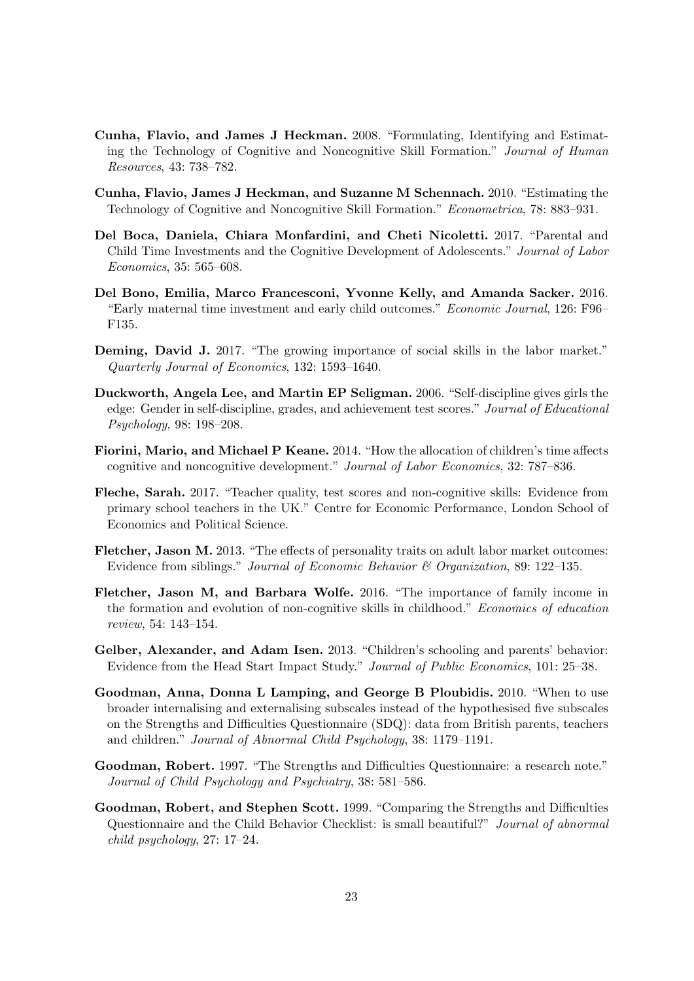- <span id="page-23-10"></span>Cunha, Flavio, and James J Heckman. 2008. "Formulating, Identifying and Estimating the Technology of Cognitive and Noncognitive Skill Formation." Journal of Human Resources, 43: 738–782.
- <span id="page-23-11"></span>Cunha, Flavio, James J Heckman, and Suzanne M Schennach. 2010. "Estimating the Technology of Cognitive and Noncognitive Skill Formation." Econometrica, 78: 883–931.
- <span id="page-23-9"></span>Del Boca, Daniela, Chiara Monfardini, and Cheti Nicoletti. 2017. "Parental and Child Time Investments and the Cognitive Development of Adolescents." Journal of Labor Economics, 35: 565–608.
- <span id="page-23-2"></span>Del Bono, Emilia, Marco Francesconi, Yvonne Kelly, and Amanda Sacker. 2016. "Early maternal time investment and early child outcomes." Economic Journal, 126: F96– F135.
- <span id="page-23-1"></span>Deming, David J. 2017. "The growing importance of social skills in the labor market." Quarterly Journal of Economics, 132: 1593–1640.
- <span id="page-23-12"></span>Duckworth, Angela Lee, and Martin EP Seligman. 2006. "Self-discipline gives girls the edge: Gender in self-discipline, grades, and achievement test scores." Journal of Educational Psychology, 98: 198–208.
- <span id="page-23-3"></span>Fiorini, Mario, and Michael P Keane. 2014. "How the allocation of children's time affects cognitive and noncognitive development." Journal of Labor Economics, 32: 787–836.
- <span id="page-23-8"></span>Fleche, Sarah. 2017. "Teacher quality, test scores and non-cognitive skills: Evidence from primary school teachers in the UK." Centre for Economic Performance, London School of Economics and Political Science.
- <span id="page-23-0"></span>Fletcher, Jason M. 2013. "The effects of personality traits on adult labor market outcomes: Evidence from siblings." Journal of Economic Behavior & Organization, 89: 122–135.
- <span id="page-23-4"></span>Fletcher, Jason M, and Barbara Wolfe. 2016. "The importance of family income in the formation and evolution of non-cognitive skills in childhood." Economics of education review, 54: 143–154.
- <span id="page-23-13"></span>Gelber, Alexander, and Adam Isen. 2013. "Children's schooling and parents' behavior: Evidence from the Head Start Impact Study." Journal of Public Economics, 101: 25–38.
- <span id="page-23-5"></span>Goodman, Anna, Donna L Lamping, and George B Ploubidis. 2010. "When to use broader internalising and externalising subscales instead of the hypothesised five subscales on the Strengths and Difficulties Questionnaire (SDQ): data from British parents, teachers and children." Journal of Abnormal Child Psychology, 38: 1179–1191.
- <span id="page-23-6"></span>Goodman, Robert. 1997. "The Strengths and Difficulties Questionnaire: a research note." Journal of Child Psychology and Psychiatry, 38: 581–586.
- <span id="page-23-7"></span>Goodman, Robert, and Stephen Scott. 1999. "Comparing the Strengths and Difficulties Questionnaire and the Child Behavior Checklist: is small beautiful?" Journal of abnormal child psychology, 27: 17–24.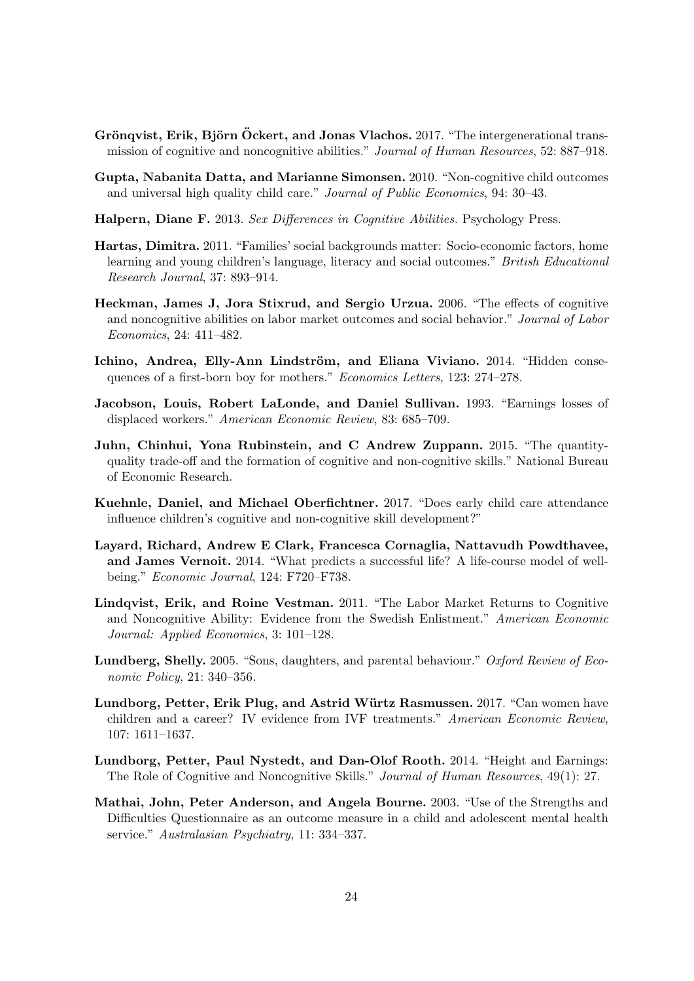- <span id="page-24-2"></span>Gröngvist, Erik, Björn Öckert, and Jonas Vlachos. 2017. "The intergenerational transmission of cognitive and noncognitive abilities." Journal of Human Resources, 52: 887–918.
- <span id="page-24-6"></span>Gupta, Nabanita Datta, and Marianne Simonsen. 2010. "Non-cognitive child outcomes and universal high quality child care." Journal of Public Economics, 94: 30–43.
- <span id="page-24-12"></span>Halpern, Diane F. 2013. Sex Differences in Cognitive Abilities. Psychology Press.
- <span id="page-24-8"></span>Hartas, Dimitra. 2011. "Families' social backgrounds matter: Socio-economic factors, home learning and young children's language, literacy and social outcomes." British Educational Research Journal, 37: 893–914.
- <span id="page-24-0"></span>Heckman, James J, Jora Stixrud, and Sergio Urzua. 2006. "The effects of cognitive and noncognitive abilities on labor market outcomes and social behavior." Journal of Labor Economics, 24: 411–482.
- <span id="page-24-10"></span>Ichino, Andrea, Elly-Ann Lindström, and Eliana Viviano. 2014. "Hidden consequences of a first-born boy for mothers." Economics Letters, 123: 274–278.
- <span id="page-24-13"></span>Jacobson, Louis, Robert LaLonde, and Daniel Sullivan. 1993. "Earnings losses of displaced workers." American Economic Review, 83: 685–709.
- <span id="page-24-3"></span>Juhn, Chinhui, Yona Rubinstein, and C Andrew Zuppann. 2015. "The quantityquality trade-off and the formation of cognitive and non-cognitive skills." National Bureau of Economic Research.
- <span id="page-24-7"></span>Kuehnle, Daniel, and Michael Oberfichtner. 2017. "Does early child care attendance influence children's cognitive and non-cognitive skill development?"
- <span id="page-24-4"></span>Layard, Richard, Andrew E Clark, Francesca Cornaglia, Nattavudh Powdthavee, and James Vernoit. 2014. "What predicts a successful life? A life-course model of wellbeing." Economic Journal, 124: F720–F738.
- <span id="page-24-1"></span>Lindqvist, Erik, and Roine Vestman. 2011. "The Labor Market Returns to Cognitive and Noncognitive Ability: Evidence from the Swedish Enlistment." American Economic Journal: Applied Economics, 3: 101–128.
- <span id="page-24-11"></span>Lundberg, Shelly. 2005. "Sons, daughters, and parental behaviour." Oxford Review of Economic Policy, 21: 340–356.
- <span id="page-24-9"></span>Lundborg, Petter, Erik Plug, and Astrid Würtz Rasmussen. 2017. "Can women have children and a career? IV evidence from IVF treatments." American Economic Review, 107: 1611–1637.
- <span id="page-24-14"></span>Lundborg, Petter, Paul Nystedt, and Dan-Olof Rooth. 2014. "Height and Earnings: The Role of Cognitive and Noncognitive Skills." Journal of Human Resources, 49(1): 27.
- <span id="page-24-5"></span>Mathai, John, Peter Anderson, and Angela Bourne. 2003. "Use of the Strengths and Difficulties Questionnaire as an outcome measure in a child and adolescent mental health service." Australasian Psychiatry, 11: 334–337.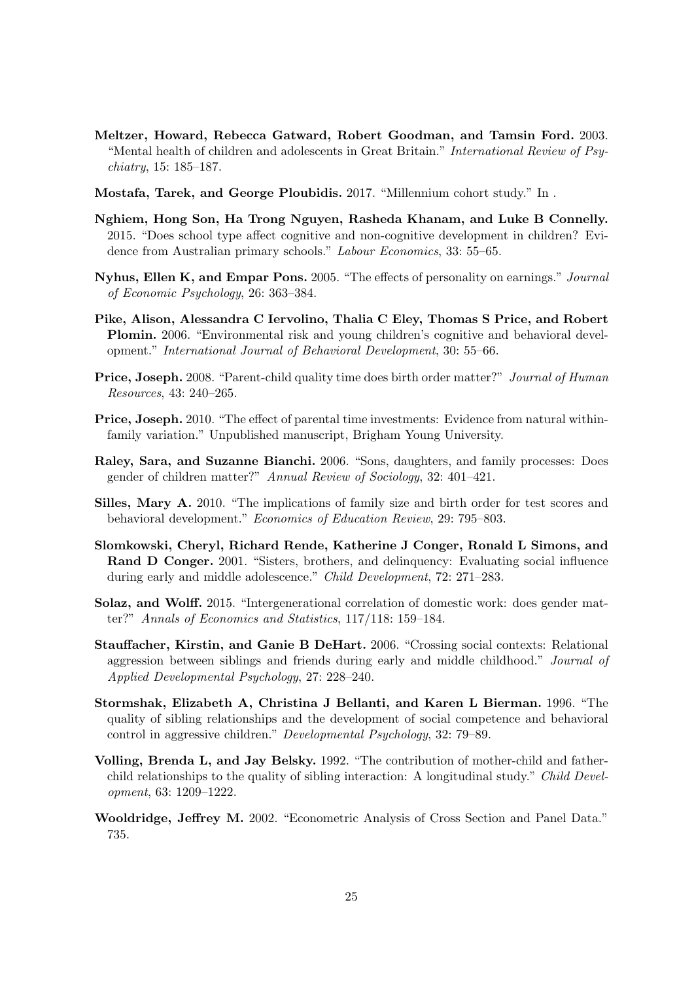- <span id="page-25-8"></span>Meltzer, Howard, Rebecca Gatward, Robert Goodman, and Tamsin Ford. 2003. "Mental health of children and adolescents in Great Britain." International Review of Psychiatry, 15: 185–187.
- <span id="page-25-9"></span>Mostafa, Tarek, and George Ploubidis. 2017. "Millennium cohort study." In .
- <span id="page-25-6"></span>Nghiem, Hong Son, Ha Trong Nguyen, Rasheda Khanam, and Luke B Connelly. 2015. "Does school type affect cognitive and non-cognitive development in children? Evidence from Australian primary schools." Labour Economics, 33: 55–65.
- <span id="page-25-0"></span>Nyhus, Ellen K, and Empar Pons. 2005. "The effects of personality on earnings." Journal of Economic Psychology, 26: 363–384.
- <span id="page-25-7"></span>Pike, Alison, Alessandra C Iervolino, Thalia C Eley, Thomas S Price, and Robert Plomin. 2006. "Environmental risk and young children's cognitive and behavioral development." International Journal of Behavioral Development, 30: 55–66.
- <span id="page-25-11"></span>Price, Joseph. 2008. "Parent-child quality time does birth order matter?" Journal of Human Resources, 43: 240–265.
- <span id="page-25-12"></span>Price, Joseph. 2010. "The effect of parental time investments: Evidence from natural withinfamily variation." Unpublished manuscript, Brigham Young University.
- <span id="page-25-13"></span>Raley, Sara, and Suzanne Bianchi. 2006. "Sons, daughters, and family processes: Does gender of children matter?" Annual Review of Sociology, 32: 401–421.
- <span id="page-25-5"></span>Silles, Mary A. 2010. "The implications of family size and birth order for test scores and behavioral development." Economics of Education Review, 29: 795–803.
- <span id="page-25-1"></span>Slomkowski, Cheryl, Richard Rende, Katherine J Conger, Ronald L Simons, and Rand D Conger. 2001. "Sisters, brothers, and delinquency: Evaluating social influence during early and middle adolescence." Child Development, 72: 271–283.
- <span id="page-25-14"></span>Solaz, and Wolff. 2015. "Intergenerational correlation of domestic work: does gender matter?" Annals of Economics and Statistics, 117/118: 159–184.
- <span id="page-25-2"></span>Stauffacher, Kirstin, and Ganie B DeHart. 2006. "Crossing social contexts: Relational aggression between siblings and friends during early and middle childhood." Journal of Applied Developmental Psychology, 27: 228–240.
- <span id="page-25-4"></span>Stormshak, Elizabeth A, Christina J Bellanti, and Karen L Bierman. 1996. "The quality of sibling relationships and the development of social competence and behavioral control in aggressive children." Developmental Psychology, 32: 79–89.
- <span id="page-25-3"></span>Volling, Brenda L, and Jay Belsky. 1992. "The contribution of mother-child and fatherchild relationships to the quality of sibling interaction: A longitudinal study." Child Development, 63: 1209–1222.
- <span id="page-25-10"></span>Wooldridge, Jeffrey M. 2002. "Econometric Analysis of Cross Section and Panel Data." 735.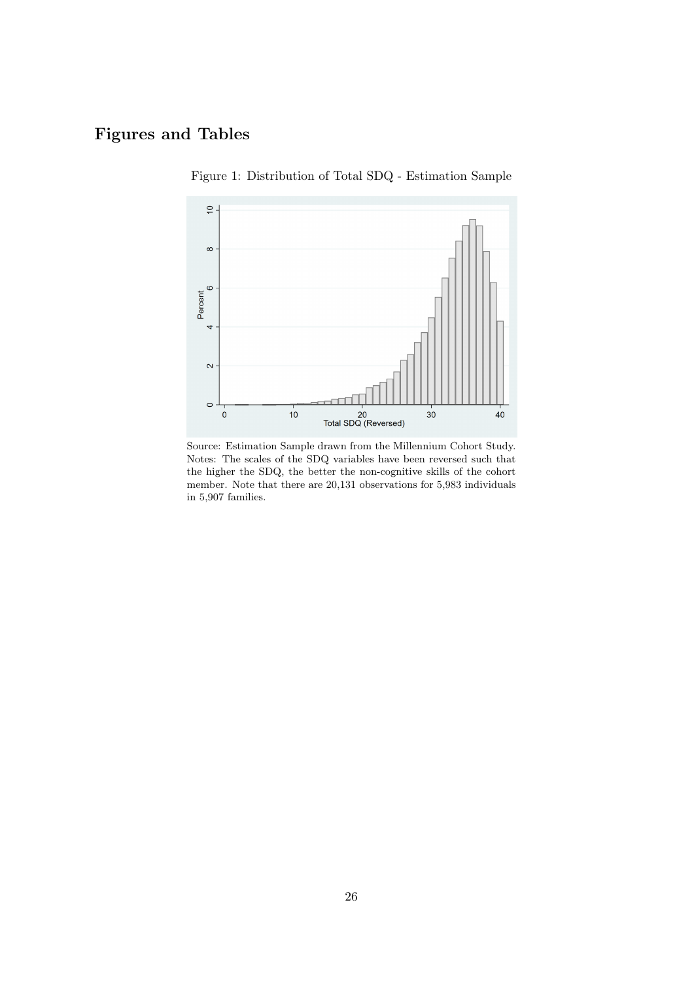### <span id="page-26-0"></span>Figures and Tables



Figure 1: Distribution of Total SDQ - Estimation Sample

Source: Estimation Sample drawn from the Millennium Cohort Study. Notes: The scales of the SDQ variables have been reversed such that the higher the SDQ, the better the non-cognitive skills of the cohort member. Note that there are 20,131 observations for 5,983 individuals in 5,907 families.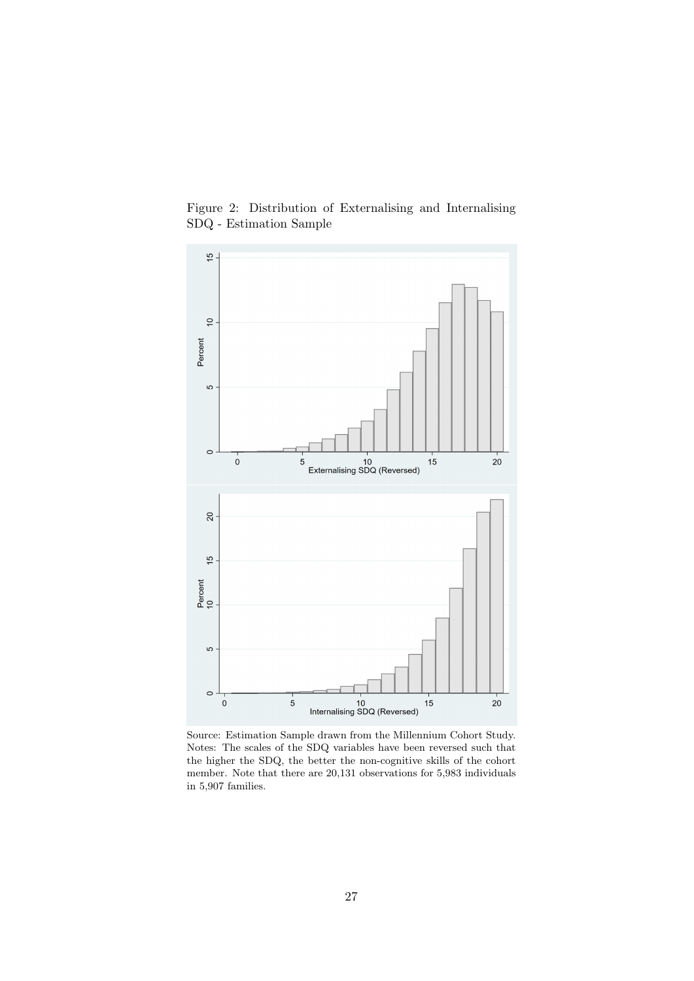

<span id="page-27-0"></span>Figure 2: Distribution of Externalising and Internalising SDQ - Estimation Sample

Source: Estimation Sample drawn from the Millennium Cohort Study. Notes: The scales of the SDQ variables have been reversed such that the higher the SDQ, the better the non-cognitive skills of the cohort member. Note that there are 20,131 observations for 5,983 individuals in 5,907 families.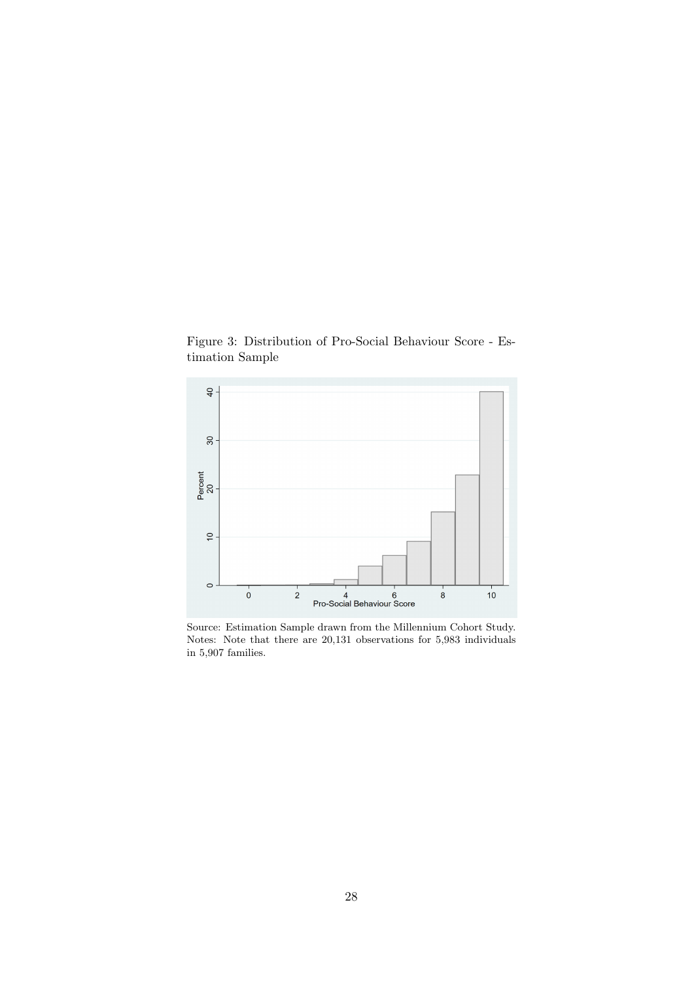<span id="page-28-0"></span>Figure 3: Distribution of Pro-Social Behaviour Score - Estimation Sample



Source: Estimation Sample drawn from the Millennium Cohort Study. Notes: Note that there are 20,131 observations for 5,983 individuals in 5,907 families.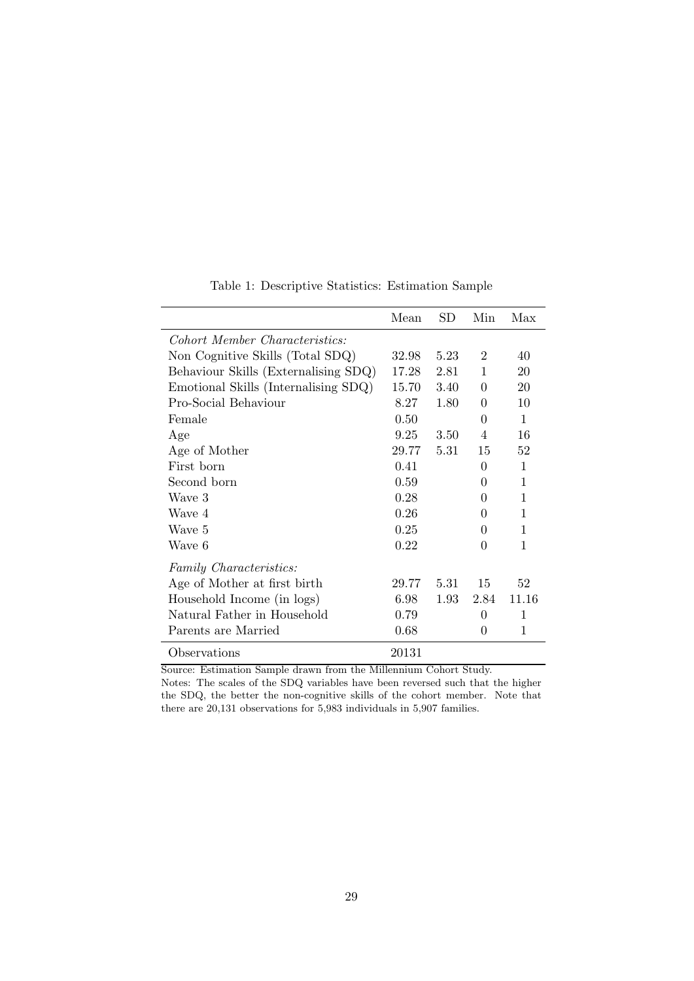|                                      | Mean  | SD.  | Min            | Max          |
|--------------------------------------|-------|------|----------------|--------------|
| Cohort Member Characteristics:       |       |      |                |              |
| Non Cognitive Skills (Total SDQ)     | 32.98 | 5.23 | $\overline{2}$ | 40           |
| Behaviour Skills (Externalising SDQ) | 17.28 | 2.81 | $\mathbf{1}$   | 20           |
| Emotional Skills (Internalising SDQ) | 15.70 | 3.40 | $\Omega$       | 20           |
| Pro-Social Behaviour                 | 8.27  | 1.80 | 0              | 10           |
| Female                               | 0.50  |      | 0              | $\mathbf{1}$ |
| Age                                  | 9.25  | 3.50 | 4              | 16           |
| Age of Mother                        | 29.77 | 5.31 | 15             | 52           |
| First born                           | 0.41  |      | 0              | $\mathbf{1}$ |
| Second born                          | 0.59  |      | 0              | 1            |
| Wave 3                               | 0.28  |      | 0              | 1            |
| Wave 4                               | 0.26  |      | 0              | 1            |
| Wave 5                               | 0.25  |      | 0              | 1            |
| Wave 6                               | 0.22  |      | 0              | 1            |
| Family Characteristics:              |       |      |                |              |
| Age of Mother at first birth         | 29.77 | 5.31 | 15             | 52           |
| Household Income (in logs)           | 6.98  | 1.93 | 2.84           | 11.16        |
| Natural Father in Household          | 0.79  |      | 0              | $\mathbf{1}$ |
| Parents are Married                  | 0.68  |      | $\Omega$       | 1            |
| Observations                         | 20131 |      |                |              |

Table 1: Descriptive Statistics: Estimation Sample

<span id="page-29-0"></span> $\overline{a}$ L,

Source: Estimation Sample drawn from the Millennium Cohort Study.

Notes: The scales of the SDQ variables have been reversed such that the higher the SDQ, the better the non-cognitive skills of the cohort member. Note that there are 20,131 observations for 5,983 individuals in 5,907 families.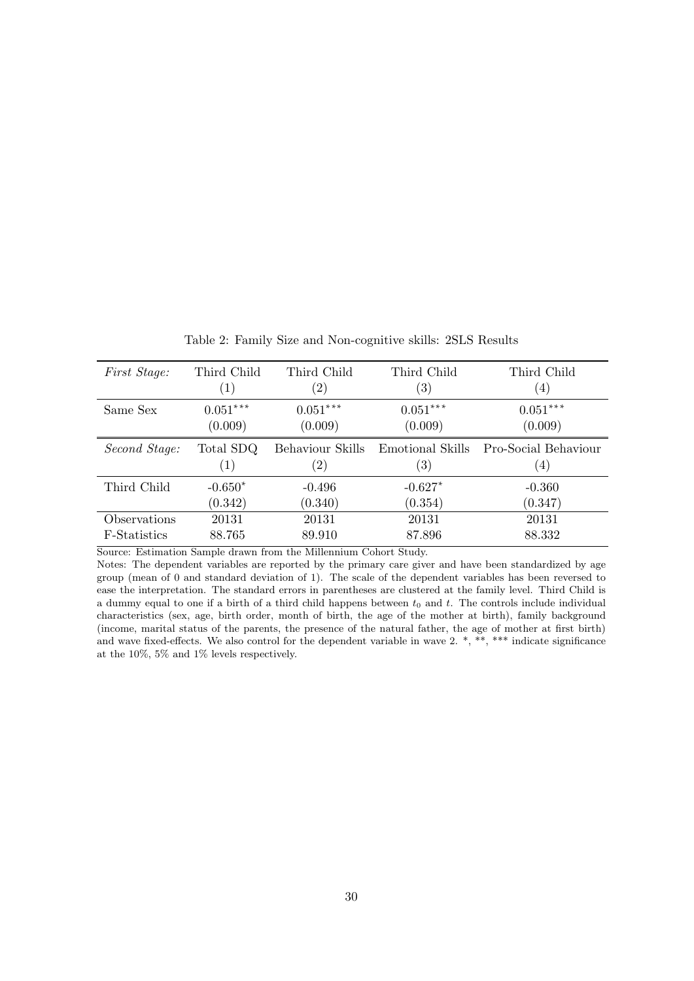<span id="page-30-0"></span>

| First Stage:  | Third Child       | Third Child       | Third Child       | Third Child          |
|---------------|-------------------|-------------------|-------------------|----------------------|
|               | $\left( 1\right)$ | $\left( 2\right)$ | $\left( 3\right)$ | (4)                  |
| Same Sex      | $0.051***$        | $0.051***$        | $0.051***$        | $0.051***$           |
|               | (0.009)           | (0.009)           | (0.009)           | (0.009)              |
| Second Stage: | Total SDQ         | Behaviour Skills  | Emotional Skills  | Pro-Social Behaviour |
|               | (1)               | $\left( 2\right)$ | $\left( 3\right)$ | (4)                  |
| Third Child   | $-0.650*$         | $-0.496$          | $-0.627*$         | $-0.360$             |
|               | (0.342)           | (0.340)           | (0.354)           | (0.347)              |
| Observations  | 20131             | 20131             | 20131             | 20131                |
| F-Statistics  | 88.765            | 89.910            | 87.896            | 88.332               |

Table 2: Family Size and Non-cognitive skills: 2SLS Results

Notes: The dependent variables are reported by the primary care giver and have been standardized by age group (mean of 0 and standard deviation of 1). The scale of the dependent variables has been reversed to ease the interpretation. The standard errors in parentheses are clustered at the family level. Third Child is a dummy equal to one if a birth of a third child happens between  $t_0$  and  $t$ . The controls include individual characteristics (sex, age, birth order, month of birth, the age of the mother at birth), family background (income, marital status of the parents, the presence of the natural father, the age of mother at first birth) and wave fixed-effects. We also control for the dependent variable in wave 2. \*, \*\*, \*\*\* indicate significance at the 10%, 5% and 1% levels respectively.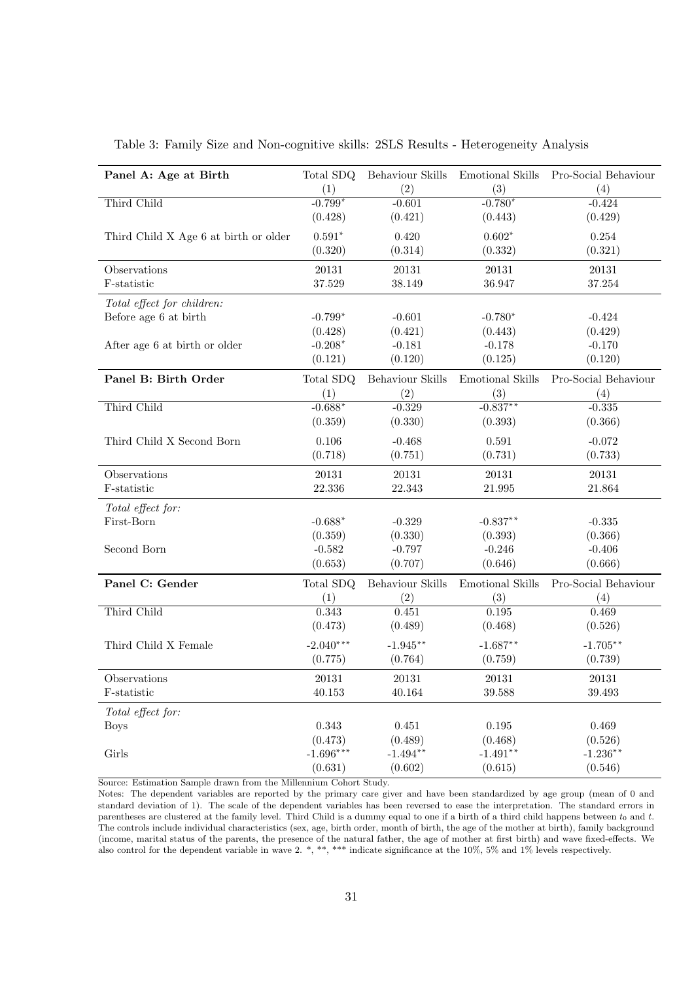| Panel A: Age at Birth                 | Total SDQ       | Behaviour Skills | <b>Emotional Skills</b> | Pro-Social Behaviour |
|---------------------------------------|-----------------|------------------|-------------------------|----------------------|
|                                       | (1)             | (2)              | (3)                     | (4)                  |
| Third Child                           | $-0.799*$       | $-0.601$         | $-0.780*$               | $-0.424$             |
|                                       | (0.428)         | (0.421)          | (0.443)                 | (0.429)              |
| Third Child X Age 6 at birth or older | $0.591*$        | 0.420            | $0.602*$                | 0.254                |
|                                       | (0.320)         | (0.314)          | (0.332)                 | (0.321)              |
|                                       |                 |                  |                         |                      |
| Observations<br>F-statistic           | 20131<br>37.529 | 20131<br>38.149  | 20131<br>36.947         | 20131<br>37.254      |
|                                       |                 |                  |                         |                      |
| Total effect for children:            |                 |                  |                         |                      |
| Before age 6 at birth                 | $-0.799*$       | $-0.601$         | $-0.780*$               | $-0.424$             |
|                                       | (0.428)         | (0.421)          | (0.443)                 | (0.429)              |
| After age 6 at birth or older         | $-0.208*$       | $-0.181$         | $-0.178$                | $-0.170$             |
|                                       | (0.121)         | (0.120)          | (0.125)                 | (0.120)              |
| Panel B: Birth Order                  | Total SDQ       | Behaviour Skills | Emotional Skills        | Pro-Social Behaviour |
|                                       | (1)             | (2)              | (3)                     | (4)                  |
| Third Child                           | $-0.688*$       | $-0.329$         | $-0.837**$              | $-0.335$             |
|                                       | (0.359)         | (0.330)          | (0.393)                 | (0.366)              |
| Third Child X Second Born             | 0.106           | $-0.468$         | 0.591                   | $-0.072$             |
|                                       | (0.718)         | (0.751)          | (0.731)                 | (0.733)              |
| Observations                          | 20131           | 20131            | 20131                   | 20131                |
| F-statistic                           | 22.336          | 22.343           | 21.995                  | 21.864               |
| Total effect for:                     |                 |                  |                         |                      |
| First-Born                            | $-0.688*$       | $-0.329$         | $-0.837**$              | $-0.335$             |
|                                       | (0.359)         | (0.330)          | (0.393)                 | (0.366)              |
| Second Born                           | $-0.582$        | $-0.797$         | $-0.246$                | $-0.406$             |
|                                       | (0.653)         | (0.707)          | (0.646)                 | (0.666)              |
|                                       |                 |                  |                         |                      |
| Panel C: Gender                       | Total SDQ       | Behaviour Skills | Emotional Skills        | Pro-Social Behaviour |
|                                       | (1)             | (2)              | (3)                     | (4)                  |
| Third Child                           | 0.343           | 0.451            | 0.195                   | 0.469                |
|                                       | (0.473)         | (0.489)          | (0.468)                 | (0.526)              |
| Third Child X Female                  | $-2.040***$     | $-1.945**$       | $-1.687**$              | $-1.705**$           |
|                                       | (0.775)         | (0.764)          | (0.759)                 | (0.739)              |
| Observations                          | 20131           | 20131            | 20131                   | 20131                |
| F-statistic                           | 40.153          | 40.164           | 39.588                  | 39.493               |
| Total effect for:                     |                 |                  |                         |                      |
| <b>Boys</b>                           | 0.343           | 0.451            | $0.195\,$               | 0.469                |
|                                       | (0.473)         | (0.489)          | (0.468)                 | (0.526)              |
| Girls                                 | $-1.696***$     | $-1.494**$       | $-1.491**$              | $-1.236**$           |
|                                       | (0.631)         | (0.602)          | (0.615)                 | (0.546)              |

<span id="page-31-0"></span>Table 3: Family Size and Non-cognitive skills: 2SLS Results - Heterogeneity Analysis

Notes: The dependent variables are reported by the primary care giver and have been standardized by age group (mean of 0 and standard deviation of 1). The scale of the dependent variables has been reversed to ease the interpretation. The standard errors in parentheses are clustered at the family level. Third Child is a dummy equal to one if a birth of a third child happens between  $t_0$  and  $t$ . The controls include individual characteristics (sex, age, birth order, month of birth, the age of the mother at birth), family background (income, marital status of the parents, the presence of the natural father, the age of mother at first birth) and wave fixed-effects. We also control for the dependent variable in wave 2. \*, \*\*, \*\*\* indicate significance at the  $10\%$ , 5% and  $1\%$  levels respectively.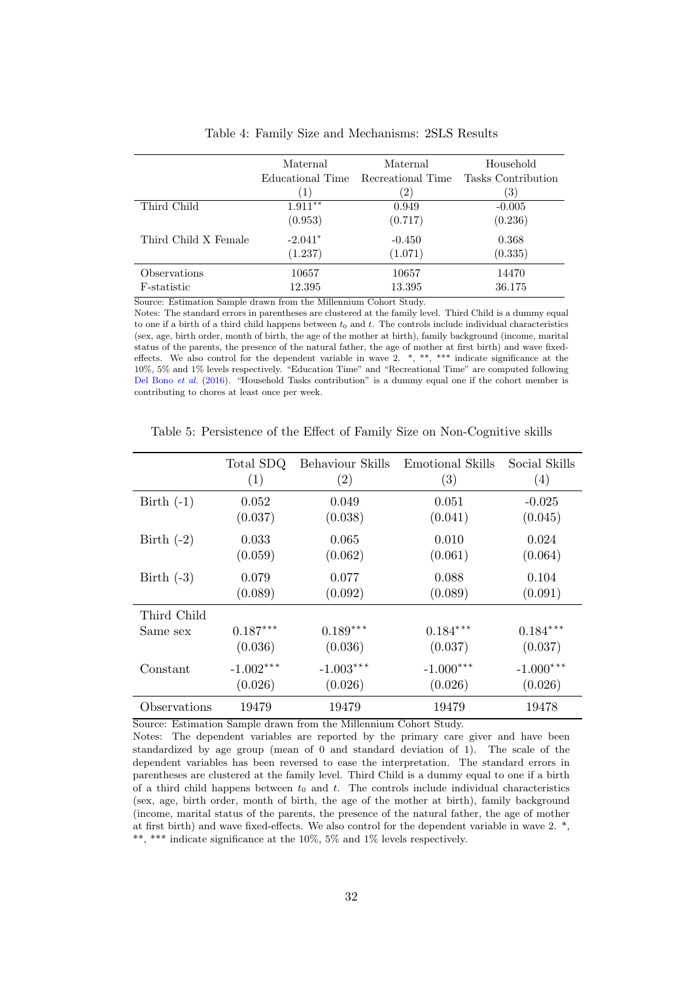<span id="page-32-0"></span>

|                      | Maternal         | Maternal          | Household          |
|----------------------|------------------|-------------------|--------------------|
|                      | Educational Time | Recreational Time | Tasks Contribution |
|                      | `1`              | $^{2}$            | 3)                 |
| Third Child          | $1.911**$        | 0.949             | $-0.005$           |
|                      | (0.953)          | (0.717)           | (0.236)            |
| Third Child X Female | $-2.041*$        | $-0.450$          | 0.368              |
|                      | (1.237)          | (1.071)           | (0.335)            |
| Observations         | 10657            | 10657             | 14470              |
| F-statistic          | 12.395           | 13.395            | 36.175             |

Table 4: Family Size and Mechanisms: 2SLS Results

Notes: The standard errors in parentheses are clustered at the family level. Third Child is a dummy equal to one if a birth of a third child happens between  $t_0$  and  $t$ . The controls include individual characteristics (sex, age, birth order, month of birth, the age of the mother at birth), family background (income, marital status of the parents, the presence of the natural father, the age of mother at first birth) and wave fixedeffects. We also control for the dependent variable in wave  $2.$  \*, \*\*, \*\*\* indicate significance at the 10%, 5% and 1% levels respectively. "Education Time" and "Recreational Time" are computed following [Del Bono](#page-23-2) et al. [\(2016\)](#page-23-2). "Household Tasks contribution" is a dummy equal one if the cohort member is contributing to chores at least once per week.

<span id="page-32-1"></span>

|              | Total SDQ   | Behaviour Skills | Emotional Skills | Social Skills |
|--------------|-------------|------------------|------------------|---------------|
|              | (1)         | (2)              | (3)              | (4)           |
| Birth $(-1)$ | 0.052       | 0.049            | 0.051            | $-0.025$      |
|              | (0.037)     | (0.038)          | (0.041)          | (0.045)       |
| Birth $(-2)$ | 0.033       | 0.065            | 0.010            | 0.024         |
|              | (0.059)     | (0.062)          | (0.061)          | (0.064)       |
| Birth $(-3)$ | 0.079       | 0.077            | 0.088            | 0.104         |
|              | (0.089)     | (0.092)          | (0.089)          | (0.091)       |
| Third Child  |             |                  |                  |               |
| Same sex     | $0.187***$  | $0.189***$       | $0.184***$       | $0.184***$    |
|              | (0.036)     | (0.036)          | (0.037)          | (0.037)       |
| Constant     | $-1.002***$ | $-1.003***$      | $-1.000***$      | $-1.000***$   |
|              | (0.026)     | (0.026)          | (0.026)          | (0.026)       |
| Observations | 19479       | 19479            | 19479            | 19478         |

Table 5: Persistence of the Effect of Family Size on Non-Cognitive skills

Source: Estimation Sample drawn from the Millennium Cohort Study.

Notes: The dependent variables are reported by the primary care giver and have been standardized by age group (mean of 0 and standard deviation of 1). The scale of the dependent variables has been reversed to ease the interpretation. The standard errors in parentheses are clustered at the family level. Third Child is a dummy equal to one if a birth of a third child happens between  $t_0$  and t. The controls include individual characteristics (sex, age, birth order, month of birth, the age of the mother at birth), family background (income, marital status of the parents, the presence of the natural father, the age of mother at first birth) and wave fixed-effects. We also control for the dependent variable in wave 2. \*, \*\*, \*\*\* indicate significance at the 10%, 5% and 1% levels respectively.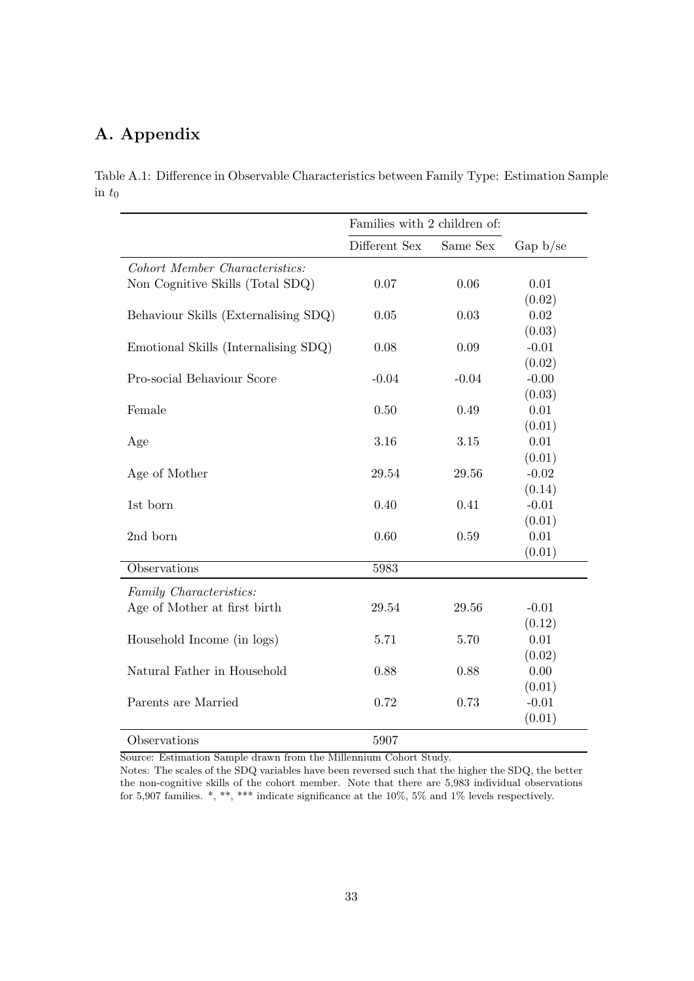### A. Appendix

<span id="page-33-0"></span>Table A.1: Difference in Observable Characteristics between Family Type: Estimation Sample in  $t_0$ 

|                                      |               | Families with 2 children of: |           |  |
|--------------------------------------|---------------|------------------------------|-----------|--|
|                                      | Different Sex | Same Sex                     | Gap b/sec |  |
| Cohort Member Characteristics:       |               |                              |           |  |
| Non Cognitive Skills (Total SDQ)     | 0.07          | 0.06                         | 0.01      |  |
|                                      |               |                              | (0.02)    |  |
| Behaviour Skills (Externalising SDQ) | 0.05          | 0.03                         | $0.02\,$  |  |
|                                      |               |                              | (0.03)    |  |
| Emotional Skills (Internalising SDQ) | 0.08          | 0.09                         | $-0.01$   |  |
|                                      |               |                              | (0.02)    |  |
| Pro-social Behaviour Score           | $-0.04$       | $-0.04$                      | $-0.00$   |  |
|                                      |               |                              | (0.03)    |  |
| Female                               | 0.50          | 0.49                         | 0.01      |  |
|                                      |               |                              | (0.01)    |  |
| Age                                  | 3.16          | 3.15                         | 0.01      |  |
|                                      |               |                              | (0.01)    |  |
| Age of Mother                        | 29.54         | 29.56                        | $-0.02$   |  |
|                                      |               |                              | (0.14)    |  |
| 1st born                             | 0.40          | 0.41                         | $-0.01$   |  |
|                                      |               |                              | (0.01)    |  |
| 2nd born                             | 0.60          | 0.59                         | 0.01      |  |
|                                      |               |                              | (0.01)    |  |
| Observations                         | 5983          |                              |           |  |
| Family Characteristics:              |               |                              |           |  |
| Age of Mother at first birth         | 29.54         | 29.56                        | $-0.01$   |  |
|                                      |               |                              | (0.12)    |  |
| Household Income (in logs)           | 5.71          | 5.70                         | 0.01      |  |
|                                      |               |                              | (0.02)    |  |
| Natural Father in Household          | 0.88          | 0.88                         | 0.00      |  |
|                                      |               |                              | (0.01)    |  |
| Parents are Married                  | 0.72          | 0.73                         | $-0.01$   |  |
|                                      |               |                              | (0.01)    |  |
| Observations                         | 5907          |                              |           |  |

Source: Estimation Sample drawn from the Millennium Cohort Study.

Notes: The scales of the SDQ variables have been reversed such that the higher the SDQ, the better the non-cognitive skills of the cohort member. Note that there are 5,983 individual observations for 5,907 families. \*, \*\*, \*\*\* indicate significance at the 10%, 5% and 1% levels respectively.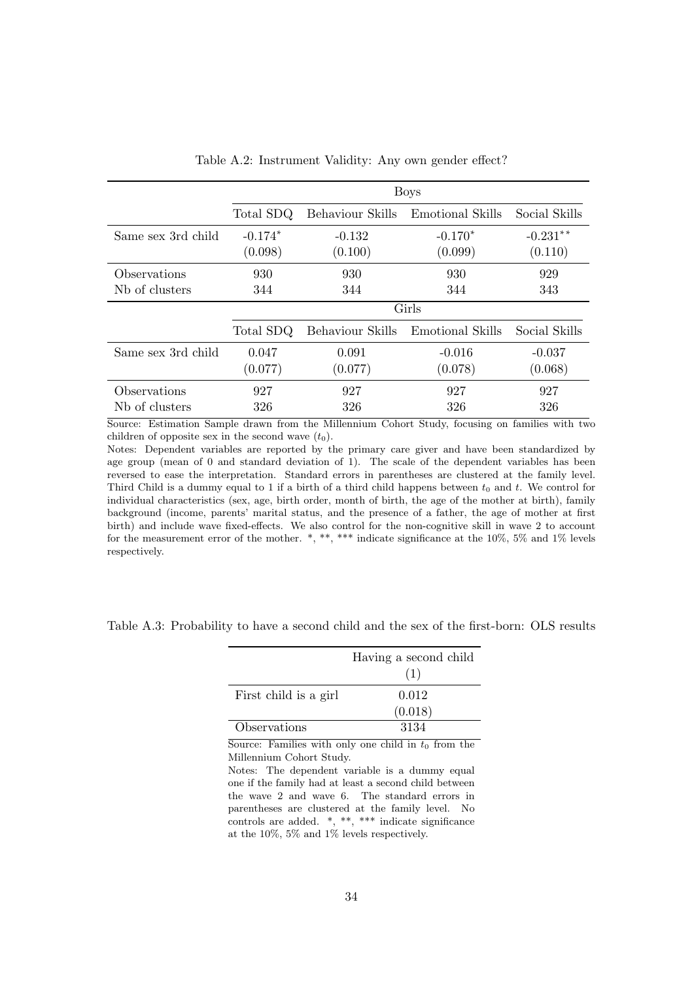<span id="page-34-0"></span>

|                            |           |                  | <b>Boys</b>      |               |
|----------------------------|-----------|------------------|------------------|---------------|
|                            | Total SDQ | Behaviour Skills | Emotional Skills | Social Skills |
| Same sex 3rd child         | $-0.174*$ | $-0.132$         | $-0.170*$        | $-0.231**$    |
|                            | (0.098)   | (0.100)          | (0.099)          | (0.110)       |
| Observations               | 930       | 930              | 930              | 929           |
| N <sub>b</sub> of clusters | 344       | 344              | 344              | 343           |
|                            |           |                  | Girls            |               |
|                            | Total SDQ | Behaviour Skills | Emotional Skills | Social Skills |
| Same sex 3rd child         | 0.047     | 0.091            | $-0.016$         | $-0.037$      |
|                            | (0.077)   | (0.077)          | (0.078)          | (0.068)       |
| Observations               | 927       | 927              | 927              | 927           |
| N <sub>b</sub> of clusters | 326       | 326              | 326              | 326           |

Table A.2: Instrument Validity: Any own gender effect?

Source: Estimation Sample drawn from the Millennium Cohort Study, focusing on families with two children of opposite sex in the second wave  $(t_0)$ .

Notes: Dependent variables are reported by the primary care giver and have been standardized by age group (mean of 0 and standard deviation of 1). The scale of the dependent variables has been reversed to ease the interpretation. Standard errors in parentheses are clustered at the family level. Third Child is a dummy equal to 1 if a birth of a third child happens between  $t_0$  and t. We control for individual characteristics (sex, age, birth order, month of birth, the age of the mother at birth), family background (income, parents' marital status, and the presence of a father, the age of mother at first birth) and include wave fixed-effects. We also control for the non-cognitive skill in wave 2 to account for the measurement error of the mother. \*, \*\*, \*\*\* indicate significance at the 10%, 5% and 1% levels respectively.

<span id="page-34-1"></span>

| Table A.3: Probability to have a second child and the sex of the first-born: OLS results |  |  |  |  |  |  |  |  |  |  |  |
|------------------------------------------------------------------------------------------|--|--|--|--|--|--|--|--|--|--|--|
|------------------------------------------------------------------------------------------|--|--|--|--|--|--|--|--|--|--|--|

|                       | Having a second child<br>(1) |
|-----------------------|------------------------------|
| First child is a girl | 0.012                        |
|                       | (0.018)                      |
| Observations          | 3134                         |

Source: Families with only one child in  $t_0$  from the Millennium Cohort Study.

Notes: The dependent variable is a dummy equal one if the family had at least a second child between the wave 2 and wave 6. The standard errors in parentheses are clustered at the family level. No controls are added. \*, \*\*, \*\*\* indicate significance at the 10%, 5% and 1% levels respectively.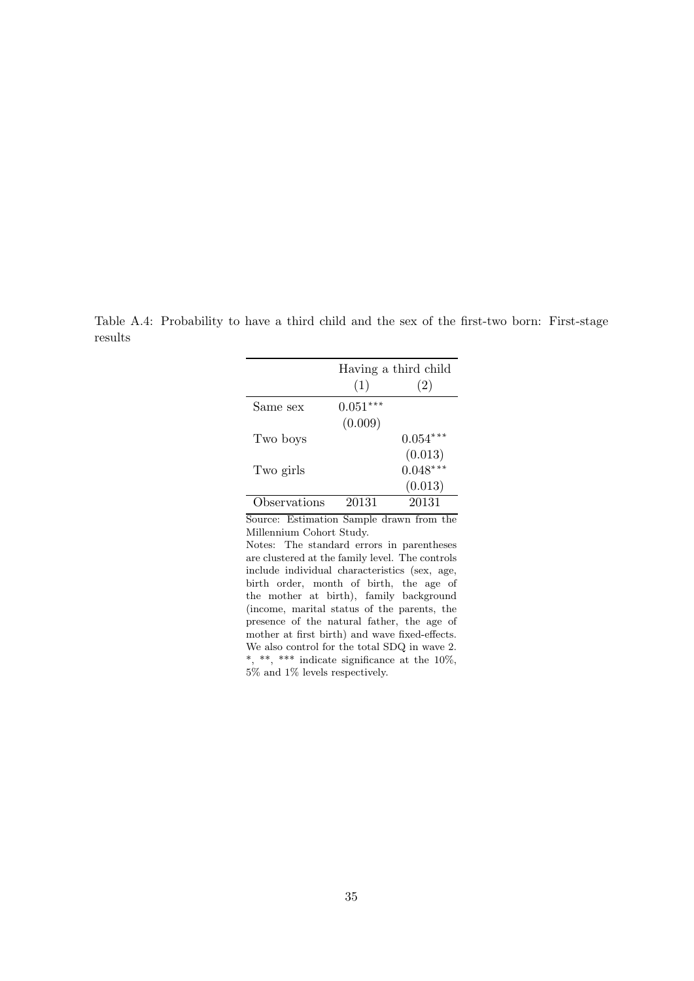<span id="page-35-0"></span>Table A.4: Probability to have a third child and the sex of the first-two born: First-stage results

|              |            | Having a third child |
|--------------|------------|----------------------|
|              | (1)        | (2)                  |
| Same sex     | $0.051***$ |                      |
|              | (0.009)    |                      |
| Two boys     |            | $0.054***$           |
|              |            | (0.013)              |
| Two girls    |            | $0.048***$           |
|              |            | (0.013)              |
| )bservations | 20131      | 20131                |

Notes: The standard errors in parentheses are clustered at the family level. The controls include individual characteristics (sex, age, birth order, month of birth, the age of the mother at birth), family background (income, marital status of the parents, the presence of the natural father, the age of mother at first birth) and wave fixed-effects. We also control for the total SDQ in wave 2. \*, \*\*, \*\*\* indicate significance at the  $10\%$ , 5% and 1% levels respectively.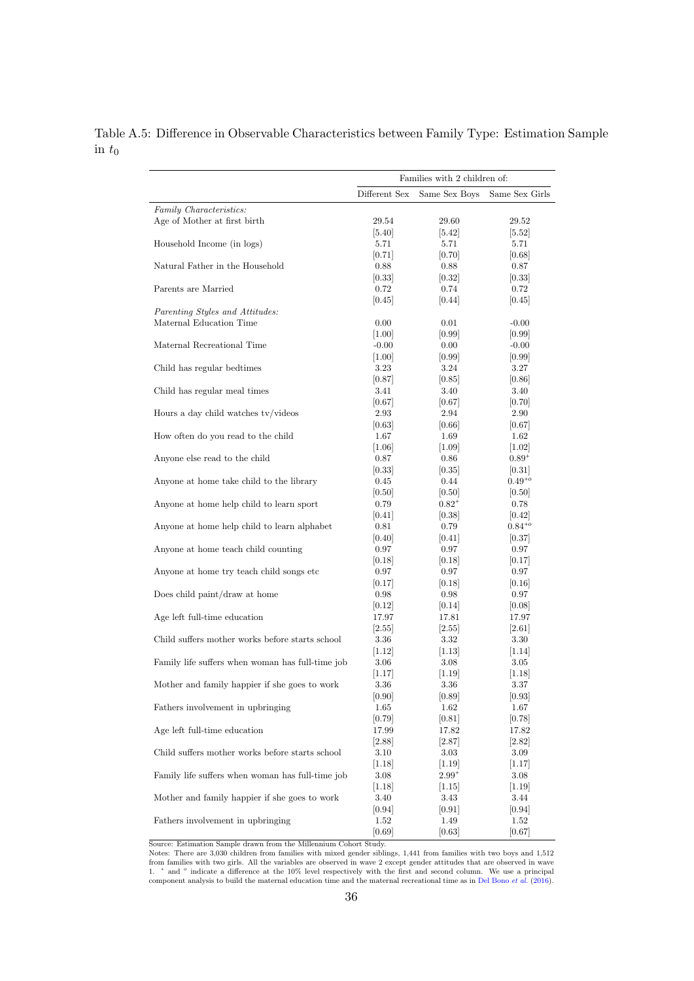|                                                  |               | Families with 2 children of: |                |
|--------------------------------------------------|---------------|------------------------------|----------------|
|                                                  | Different Sex | Same Sex Boys                | Same Sex Girls |
| Family Characteristics:                          |               |                              |                |
| Age of Mother at first birth                     | 29.54         | 29.60                        | 29.52          |
|                                                  | [5.40]        | [5.42]                       | 5.52           |
| Household Income (in logs)                       | 5.71          | 5.71                         | 5.71           |
|                                                  | 0.71          | 0.70                         | 0.68           |
| Natural Father in the Household                  | 0.88          | 0.88                         | 0.87           |
|                                                  | 0.33          | 0.32                         | 0.33           |
| Parents are Married                              | 0.72          | 0.74                         | 0.72           |
|                                                  | 0.45          | 0.44                         | 0.45           |
| Parenting Styles and Attitudes:                  |               |                              |                |
| Maternal Education Time                          | 0.00          | 0.01                         | $-0.00$        |
|                                                  | 1.00          | 0.99                         | 0.99           |
| Maternal Recreational Time                       | $-0.00$       | 0.00                         | $-0.00$        |
|                                                  | 1.00          | 0.99                         | 0.99           |
| Child has regular bedtimes                       | 3.23          | 3.24                         | 3.27           |
|                                                  | 0.87          | 0.85                         | 0.86           |
| Child has regular meal times                     | 3.41          | 3.40                         | 3.40           |
|                                                  | 0.67          | 0.67                         | 0.70           |
| Hours a day child watches tv/videos              | 2.93          | 2.94                         | 2.90           |
|                                                  | 0.63          | 0.66                         | 0.67           |
| How often do you read to the child               | 1.67          | 1.69                         | 1.62           |
|                                                  | 1.06          |                              | 1.02           |
| Anyone else read to the child                    | 0.87          | 1.09                         | $0.89^{+}$     |
|                                                  |               | 0.86                         |                |
|                                                  | 0.33          | 0.35                         | 0.31           |
| Anyone at home take child to the library         | 0.45          | 0.44                         | $0.49^{+o}$    |
|                                                  | [0.50]        | 0.50                         | 0.50           |
| Anyone at home help child to learn sport         | 0.79          | $0.82^{+}$                   | 0.78           |
|                                                  | 0.41          | 0.38                         | 0.42           |
| Anyone at home help child to learn alphabet      | 0.81          | 0.79                         | $0.84^{+o}$    |
|                                                  | 0.40          | 0.41                         | 0.37           |
| Anyone at home teach child counting              | 0.97          | 0.97                         | 0.97           |
|                                                  | 0.18          | 0.18                         | 0.17           |
| Anyone at home try teach child songs etc.        | 0.97          | 0.97                         | 0.97           |
|                                                  | 0.17          | 0.18                         | 0.16           |
| Does child paint/draw at home                    | 0.98          | 0.98                         | 0.97           |
|                                                  | 0.12          | 0.14                         | 0.08           |
| Age left full-time education                     | 17.97         | 17.81                        | 17.97          |
|                                                  | 2.55          | 2.55                         | 2.61           |
| Child suffers mother works before starts school  | 3.36          | 3.32                         | 3.30           |
|                                                  | 1.12          | 1.13                         | 1.14           |
| Family life suffers when woman has full-time job | 3.06          | 3.08                         | 3.05           |
|                                                  | 1.17          | [1.19]                       | 1.18           |
| Mother and family happier if she goes to work    | 3.36          | 3.36                         | 3.37           |
|                                                  | [0.90]        | [0.89]                       | [0.93]         |
| Fathers involvement in upbringing                | 1.65          | 1.62                         | 1.67           |
|                                                  | [0.79]        | [0.81]                       | [0.78]         |
| Age left full-time education                     | 17.99         |                              |                |
|                                                  |               | 17.82                        | 17.82          |
|                                                  | 2.88          | 2.87                         | 2.82           |
| Child suffers mother works before starts school  | 3.10          | 3.03                         | 3.09           |
|                                                  | 1.18          | 1.19                         | 1.17           |
| Family life suffers when woman has full-time job | 3.08          | $2.99^{+}$                   | 3.08           |
|                                                  | 1.18          | 1.15                         | 1.19           |
| Mother and family happier if she goes to work    | 3.40          | 3.43                         | 3.44           |
|                                                  | 0.94          | 0.91                         | 0.94           |
| Fathers involvement in upbringing                | 1.52          | 1.49                         | 1.52           |
|                                                  | [0.69]        | [0.63]                       | [0.67]         |

<span id="page-36-0"></span>Table A.5: Difference in Observable Characteristics between Family Type: Estimation Sample in  $t_0$ 

Notes: There are 3,030 children from families with mixed gender siblings, 1,441 from families with two boys and 1,512 from families with two girls. All the variables are observed in wave 2 except gender attitudes that are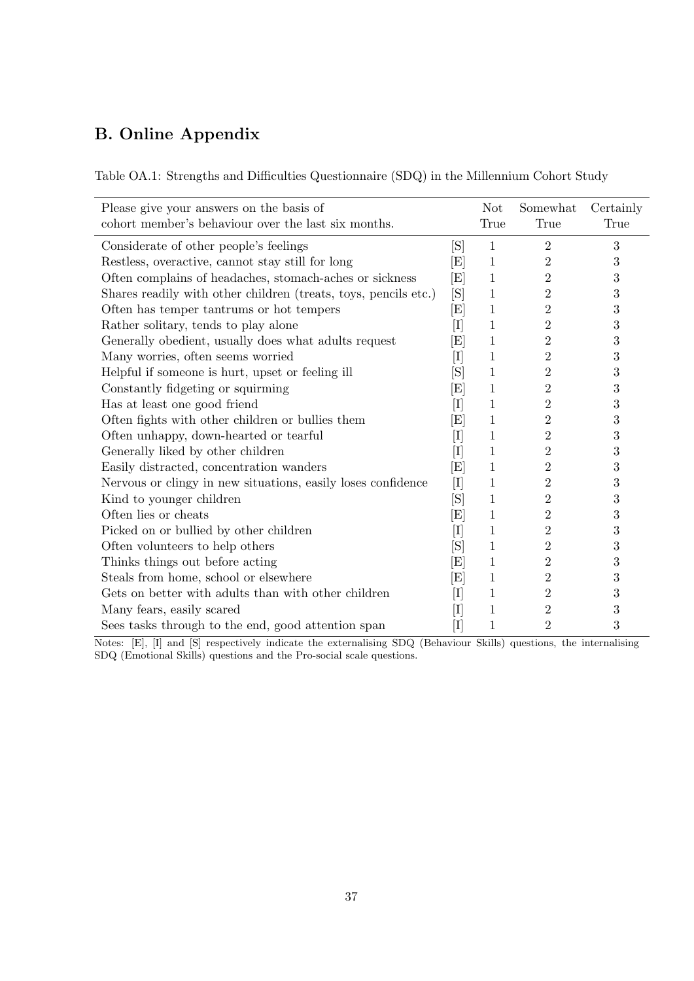### B. Online Appendix

<span id="page-37-0"></span>

| Please give your answers on the basis of<br>cohort member's behaviour over the last six months. |                                   | <b>Not</b><br>True | Somewhat<br>True | Certainly<br>True |
|-------------------------------------------------------------------------------------------------|-----------------------------------|--------------------|------------------|-------------------|
| Considerate of other people's feelings                                                          | [S]                               | 1                  | 2                | 3                 |
| Restless, overactive, cannot stay still for long                                                | $\left[ \mathrm{E} \right]$       | 1                  | $\overline{2}$   | 3                 |
| Often complains of headaches, stomach-aches or sickness                                         | $\left[ \mathrm{E} \right]$       | 1                  | $\overline{2}$   | $\boldsymbol{3}$  |
| Shares readily with other children (treats, toys, pencils etc.)                                 | $[\mathrm{S}]$                    | 1                  | 2                | $\sqrt{3}$        |
| Often has temper tantrums or hot tempers                                                        | $\left[ \mathrm{E} \right]$       | 1                  | $\overline{2}$   | $\boldsymbol{3}$  |
| Rather solitary, tends to play alone                                                            | $\left[ \mathrm{I} \right]$       | 1                  | $\overline{2}$   | $\boldsymbol{3}$  |
| Generally obedient, usually does what adults request                                            | $\left[ \mathrm{E} \right]$       | 1                  | 2                | $\sqrt{3}$        |
| Many worries, often seems worried                                                               | $\left[ \mathrm{I} \right]$       | 1                  | $\overline{2}$   | $\boldsymbol{3}$  |
| Helpful if someone is hurt, upset or feeling ill                                                | [S]                               | 1                  | $\overline{2}$   | $\boldsymbol{3}$  |
| Constantly fidgeting or squirming                                                               | $\left[ \mathrm{E} \right]$       | 1                  | 2                | $\boldsymbol{3}$  |
| Has at least one good friend                                                                    | $\left[ \mathrm{I}\right]$        | 1                  | $\overline{2}$   | 3                 |
| Often fights with other children or bullies them                                                | $\left[ \mathrm{E} \right]$       | 1                  | $\overline{2}$   | $\boldsymbol{3}$  |
| Often unhappy, down-hearted or tearful                                                          | $[\mathrm{I}]$                    | 1                  | 2                | $\sqrt{3}$        |
| Generally liked by other children                                                               | $[\mathrm{I}]$                    | 1                  | $\overline{2}$   | 3                 |
| Easily distracted, concentration wanders                                                        | $\left[ \mathrm{E} \right]$       | 1                  | $\overline{2}$   | $\boldsymbol{3}$  |
| Nervous or clingy in new situations, easily loses confidence                                    | $[{\rm I}]$                       | 1                  | 2                | $\sqrt{3}$        |
| Kind to younger children                                                                        | [S]                               | 1                  | $\overline{2}$   | 3                 |
| Often lies or cheats                                                                            | $\left[ \mathrm{E} \right]$       | 1                  | $\overline{2}$   | 3                 |
| Picked on or bullied by other children                                                          | $[\mathrm{I}]$                    | 1                  | $\overline{2}$   | 3                 |
| Often volunteers to help others                                                                 | [S]                               | 1                  | $\overline{2}$   | 3                 |
| Thinks things out before acting                                                                 | $\left[ \mathrm{E} \right]$       | 1                  | $\overline{2}$   | 3                 |
| Steals from home, school or elsewhere                                                           | $\left[ \mathrm{E} \right]$       | 1                  | $\overline{2}$   | $\sqrt{3}$        |
| Gets on better with adults than with other children                                             | $\left\lceil \Gamma \right\rceil$ | 1                  | $\overline{2}$   | 3                 |
| Many fears, easily scared                                                                       | $[\mathrm{I}]$                    | 1                  | $\overline{2}$   | 3                 |
| Sees tasks through to the end, good attention span                                              | $\rm{I}$                          | 1                  | 2                | 3                 |

Notes: [E], [I] and [S] respectively indicate the externalising SDQ (Behaviour Skills) questions, the internalising SDQ (Emotional Skills) questions and the Pro-social scale questions.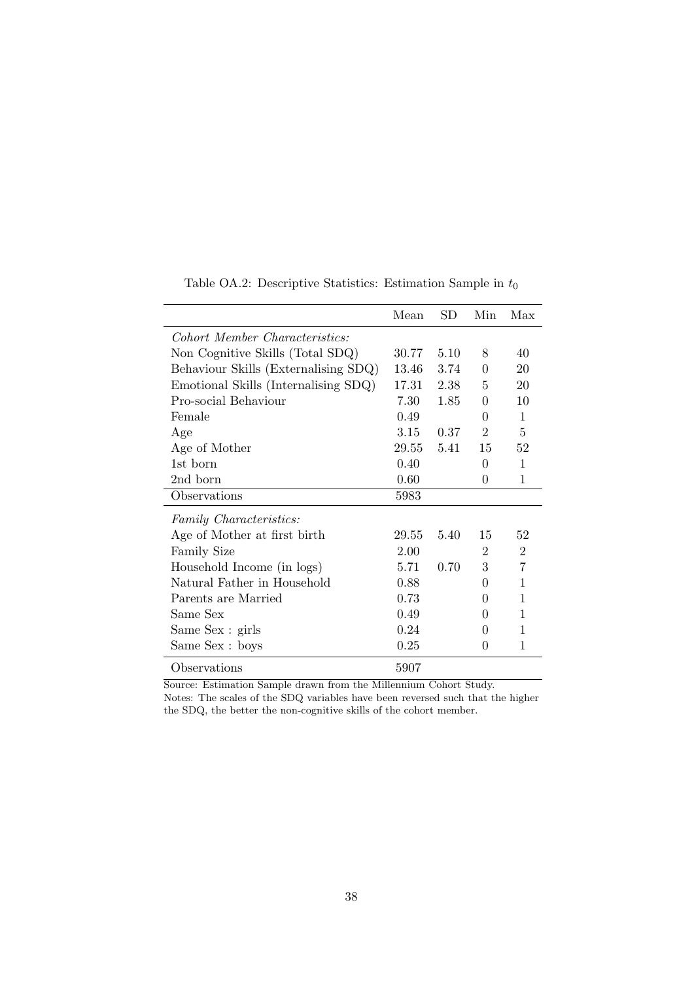<span id="page-38-0"></span>

|                                      | Mean       | SD   | Min-           | Max            |
|--------------------------------------|------------|------|----------------|----------------|
| Cohort Member Characteristics:       |            |      |                |                |
| Non Cognitive Skills (Total SDQ)     | 30.77      | 5.10 | 8              | 40             |
| Behaviour Skills (Externalising SDQ) | 13.46      | 3.74 | $\Omega$       | 20             |
| Emotional Skills (Internalising SDQ) | 17.31      | 2.38 | 5              | 20             |
| Pro-social Behaviour                 | 7.30       | 1.85 | $\Omega$       | 10             |
| Female                               | 0.49       |      | $\Omega$       | $\mathbf{1}$   |
| Age                                  | 3.15       | 0.37 | $\overline{2}$ | 5              |
| Age of Mother                        | 29.55 5.41 |      | 15             | 52             |
| 1st born                             | 0.40       |      | 0              | 1              |
| 2nd born                             | 0.60       |      | 0              | 1              |
| Observations                         | 5983       |      |                |                |
| Family Characteristics:              |            |      |                |                |
| Age of Mother at first birth         | 29.55      | 5.40 | 15             | 52             |
| Family Size                          | 2.00       |      | $\overline{2}$ | $\overline{2}$ |
| Household Income (in logs)           | 5.71       | 0.70 | 3              | 7              |
| Natural Father in Household          | 0.88       |      | 0              | 1              |
| Parents are Married                  | 0.73       |      | 0              | 1              |
| Same Sex                             | 0.49       |      | $\mathbf{0}$   | 1              |
| Same Sex : girls                     | 0.24       |      | 0              | 1              |
| Same Sex : boys                      | 0.25       |      | $\mathbf{0}$   | 1              |
| Observations                         | 5907       |      |                |                |

Table OA.2: Descriptive Statistics: Estimation Sample in  $t_0$ 

Source: Estimation Sample drawn from the Millennium Cohort Study. Notes: The scales of the SDQ variables have been reversed such that the higher the SDQ, the better the non-cognitive skills of the cohort member.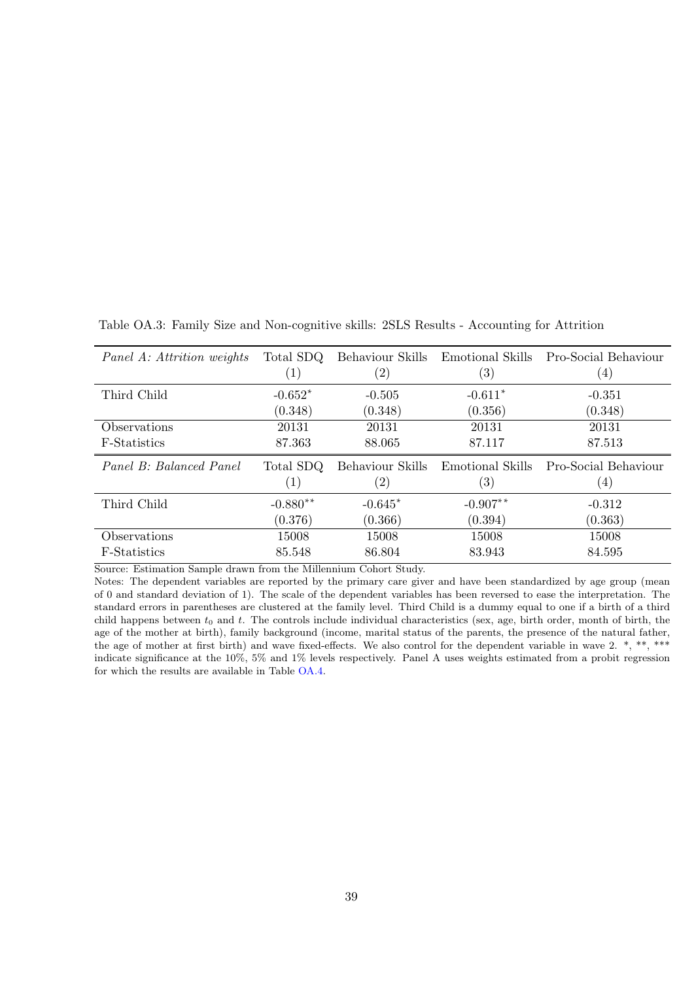| Panel A: Attrition weights | Total SDQ         | Behaviour Skills  | Emotional Skills  | Pro-Social Behaviour |
|----------------------------|-------------------|-------------------|-------------------|----------------------|
|                            | $\left( 1\right)$ | $\left( 2\right)$ | $\left( 3\right)$ | $\left( 4\right)$    |
| Third Child                | $-0.652*$         | $-0.505$          | $-0.611*$         | $-0.351$             |
|                            | (0.348)           | (0.348)           | (0.356)           | (0.348)              |
| Observations               | 20131             | 20131             | 20131             | 20131                |
| F-Statistics               | 87.363            | 88.065            | 87.117            | 87.513               |
|                            |                   |                   |                   |                      |
| Panel B: Balanced Panel    | Total SDQ         | Behaviour Skills  | Emotional Skills  | Pro-Social Behaviour |
|                            | $\left( 1\right)$ | $\left( 2\right)$ | $\left( 3\right)$ | $\left( 4\right)$    |
| Third Child                | $-0.880**$        | $-0.645*$         | $-0.907**$        | $-0.312$             |
|                            | (0.376)           | (0.366)           | (0.394)           | (0.363)              |
| Observations               | 15008             | 15008             | 15008             | 15008                |

<span id="page-39-0"></span>Table OA.3: Family Size and Non-cognitive skills: 2SLS Results - Accounting for Attrition

Notes: The dependent variables are reported by the primary care giver and have been standardized by age group (mean of 0 and standard deviation of 1). The scale of the dependent variables has been reversed to ease the interpretation. The standard errors in parentheses are clustered at the family level. Third Child is a dummy equal to one if a birth of a third child happens between  $t_0$  and t. The controls include individual characteristics (sex, age, birth order, month of birth, the age of the mother at birth), family background (income, marital status of the parents, the presence of the natural father, the age of mother at first birth) and wave fixed-effects. We also control for the dependent variable in wave 2. \*, \*\*, \*\*\* indicate significance at the 10%, 5% and 1% levels respectively. Panel A uses weights estimated from a probit regression for which the results are available in Table [OA.4.](#page-40-0)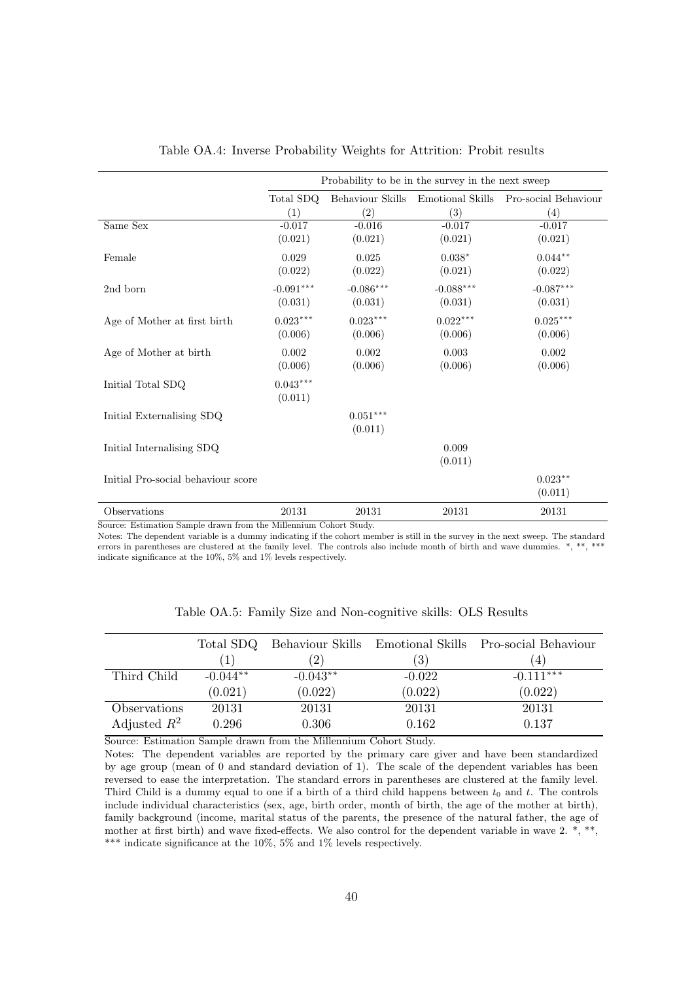<span id="page-40-0"></span>

|                                                                       | Probability to be in the survey in the next sweep |                                       |                  |                      |  |
|-----------------------------------------------------------------------|---------------------------------------------------|---------------------------------------|------------------|----------------------|--|
|                                                                       | Total SDQ                                         | Behaviour Skills                      | Emotional Skills | Pro-social Behaviour |  |
|                                                                       | (1)                                               | (2)                                   | (3)              | (4)                  |  |
| Same Sex                                                              | $-0.017$                                          | $-0.016$                              | $-0.017$         | $-0.017$             |  |
|                                                                       | (0.021)                                           | (0.021)                               | (0.021)          | (0.021)              |  |
| Female                                                                | 0.029                                             | 0.025                                 | $0.038*$         | $0.044**$            |  |
|                                                                       | (0.022)                                           | (0.022)                               | (0.021)          | (0.022)              |  |
| 2nd born                                                              | $-0.091***$                                       | $-0.086***$                           | $-0.088***$      | $-0.087***$          |  |
|                                                                       | (0.031)                                           | (0.031)                               | (0.031)          | (0.031)              |  |
| Age of Mother at first birth                                          | $0.023***$                                        | $0.023***$                            | $0.022***$       | $0.025***$           |  |
|                                                                       | (0.006)                                           | (0.006)                               | (0.006)          | (0.006)              |  |
| Age of Mother at birth                                                | 0.002                                             | 0.002                                 | 0.003            | 0.002                |  |
|                                                                       | (0.006)                                           | (0.006)                               | (0.006)          | (0.006)              |  |
| Initial Total SDQ                                                     | $0.043***$<br>(0.011)                             |                                       |                  |                      |  |
| Initial Externalising SDQ                                             |                                                   | $0.051***$<br>(0.011)                 |                  |                      |  |
| Initial Internalising SDQ                                             |                                                   |                                       | 0.009<br>(0.011) |                      |  |
| Initial Pro-social behaviour score                                    |                                                   |                                       |                  | $0.023**$<br>(0.011) |  |
| Observations<br>$D_{\text{out}}(x) = 1$ and $D_{\text{out}}(x) = 1$ . | 20131<br>$\sim$ Miller $\sim$                     | 20131<br>$-1$ $C$ $+1$<br>$\sim$ $-1$ | 20131            | 20131                |  |

| Table OA.4: Inverse Probability Weights for Attrition: Probit results |  |  |  |  |
|-----------------------------------------------------------------------|--|--|--|--|
|                                                                       |  |  |  |  |

Notes: The dependent variable is a dummy indicating if the cohort member is still in the survey in the next sweep. The standard errors in parentheses are clustered at the family level. The controls also include month of birth and wave dummies.  $*, **$ , \*\*\* indicate significance at the 10%, 5% and 1% levels respectively.

<span id="page-40-1"></span>

|                |            |            | Total SDQ Behaviour Skills Emotional Skills | Pro-social Behaviour |
|----------------|------------|------------|---------------------------------------------|----------------------|
|                |            | 2)         | $\left(3\right)$                            |                      |
| Third Child    | $-0.044**$ | $-0.043**$ | $-0.022$                                    | $-0.111***$          |
|                | (0.021)    | (0.022)    | (0.022)                                     | (0.022)              |
| Observations   | 20131      | 20131      | 20131                                       | 20131                |
| Adjusted $R^2$ | 0.296      | 0.306      | 0.162                                       | 0.137                |

Table OA.5: Family Size and Non-cognitive skills: OLS Results

Source: Estimation Sample drawn from the Millennium Cohort Study.

Notes: The dependent variables are reported by the primary care giver and have been standardized by age group (mean of 0 and standard deviation of 1). The scale of the dependent variables has been reversed to ease the interpretation. The standard errors in parentheses are clustered at the family level. Third Child is a dummy equal to one if a birth of a third child happens between  $t_0$  and t. The controls include individual characteristics (sex, age, birth order, month of birth, the age of the mother at birth), family background (income, marital status of the parents, the presence of the natural father, the age of mother at first birth) and wave fixed-effects. We also control for the dependent variable in wave 2. \*, \*\*, \*\*\* indicate significance at the 10%, 5% and 1% levels respectively.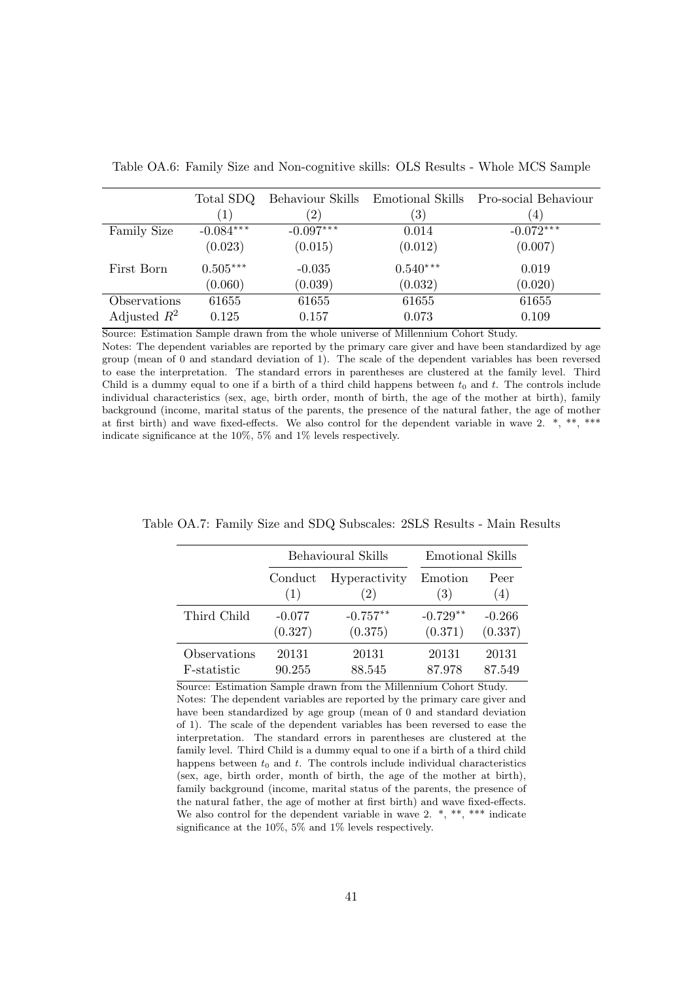|                    | Total SDQ<br>$\left(1\right)$ | Behaviour Skills<br>$^{'}2)$ | <b>Emotional Skills</b><br>$\left( 3\right)$ | Pro-social Behaviour<br>$\left(4\right)$ |
|--------------------|-------------------------------|------------------------------|----------------------------------------------|------------------------------------------|
| <b>Family Size</b> | $-0.084***$                   | $-0.097***$                  | 0.014                                        | $-0.072***$                              |
|                    | (0.023)                       | (0.015)                      | (0.012)                                      | (0.007)                                  |
| First Born         | $0.505***$                    | $-0.035$                     | $0.540***$                                   | 0.019                                    |
|                    | (0.060)                       | (0.039)                      | (0.032)                                      | (0.020)                                  |
| Observations       | 61655                         | 61655                        | 61655                                        | 61655                                    |
| Adjusted $R^2$     | 0.125                         | 0.157                        | 0.073                                        | 0.109                                    |

<span id="page-41-1"></span>Table OA.6: Family Size and Non-cognitive skills: OLS Results - Whole MCS Sample

Source: Estimation Sample drawn from the whole universe of Millennium Cohort Study.

Notes: The dependent variables are reported by the primary care giver and have been standardized by age group (mean of 0 and standard deviation of 1). The scale of the dependent variables has been reversed to ease the interpretation. The standard errors in parentheses are clustered at the family level. Third Child is a dummy equal to one if a birth of a third child happens between  $t_0$  and  $t$ . The controls include individual characteristics (sex, age, birth order, month of birth, the age of the mother at birth), family background (income, marital status of the parents, the presence of the natural father, the age of mother at first birth) and wave fixed-effects. We also control for the dependent variable in wave 2. \*, \*\*, \*\*\* indicate significance at the 10%, 5% and 1% levels respectively.

|              |          | <b>Behavioural Skills</b> | Emotional Skills |          |
|--------------|----------|---------------------------|------------------|----------|
|              | Conduct  | Hyperactivity             | Emotion          | Peer     |
|              | (1)      | $\left( 2\right)$         | (3)              | (4)      |
| Third Child  | $-0.077$ | $-0.757**$                | $-0.729**$       | $-0.266$ |
|              | (0.327)  | (0.375)                   | (0.371)          | (0.337)  |
| Observations | 20131    | 20131                     | 20131            | 20131    |
| F-statistic  | 90.255   | 88.545                    | 87.978           | 87.549   |

<span id="page-41-0"></span>Table OA.7: Family Size and SDQ Subscales: 2SLS Results - Main Results

Source: Estimation Sample drawn from the Millennium Cohort Study. Notes: The dependent variables are reported by the primary care giver and have been standardized by age group (mean of 0 and standard deviation of 1). The scale of the dependent variables has been reversed to ease the interpretation. The standard errors in parentheses are clustered at the family level. Third Child is a dummy equal to one if a birth of a third child happens between  $t_0$  and  $t$ . The controls include individual characteristics (sex, age, birth order, month of birth, the age of the mother at birth), family background (income, marital status of the parents, the presence of the natural father, the age of mother at first birth) and wave fixed-effects. We also control for the dependent variable in wave 2.  $*,$  \*\*, \*\*\* indicate significance at the 10%, 5% and 1% levels respectively.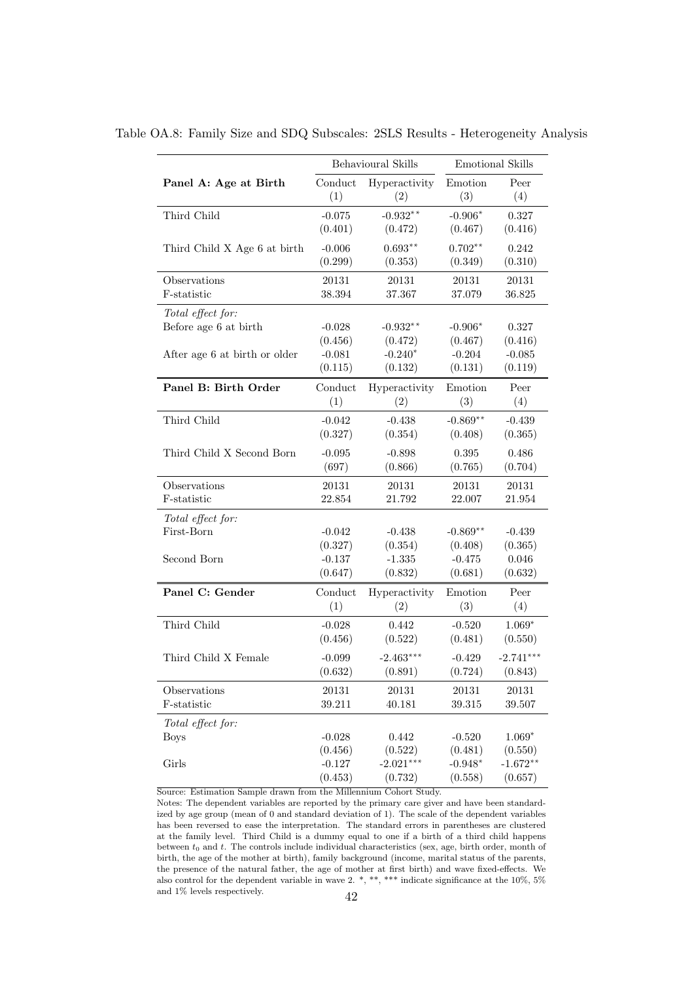|                                 | Behavioural Skills |               | <b>Emotional Skills</b> |             |
|---------------------------------|--------------------|---------------|-------------------------|-------------|
| Panel A: Age at Birth           | Conduct            | Hyperactivity | Emotion                 | Peer        |
|                                 | (1)                | (2)           | (3)                     | (4)         |
| Third Child                     | $-0.075$           | $-0.932**$    | $-0.906*$               | 0.327       |
|                                 | (0.401)            | (0.472)       | (0.467)                 | (0.416)     |
| Third Child X Age 6 at birth    | $-0.006$           | $0.693**$     | $0.702**$               | 0.242       |
|                                 | (0.299)            | (0.353)       | (0.349)                 | (0.310)     |
| Observations                    | 20131              | 20131         | 20131                   | 20131       |
| F-statistic                     | 38.394             | 37.367        | 37.079                  | 36.825      |
| Total effect for:               | $-0.028$           | $-0.932**$    | $-0.906*$               | 0.327       |
| Before age 6 at birth           | (0.456)            | (0.472)       | (0.467)                 | (0.416)     |
| After age 6 at birth or older   | $-0.081$           | $-0.240*$     | $-0.204$                | $-0.085$    |
|                                 | (0.115)            | (0.132)       | (0.131)                 | (0.119)     |
| Panel B: Birth Order            | Conduct            | Hyperactivity | Emotion                 | Peer        |
|                                 | (1)                | (2)           | (3)                     | (4)         |
| Third Child                     | $-0.042$           | $-0.438$      | $-0.869**$              | $-0.439$    |
|                                 | (0.327)            | (0.354)       | (0.408)                 | (0.365)     |
| Third Child X Second Born       | $-0.095$           | $-0.898$      | 0.395                   | 0.486       |
|                                 | (697)              | (0.866)       | (0.765)                 | (0.704)     |
| Observations                    | 20131              | 20131         | 20131                   | 20131       |
| F-statistic                     | 22.854             | 21.792        | 22.007                  | 21.954      |
| Total effect for:<br>First-Born | $-0.042$           | $-0.438$      | $-0.869**$              | $-0.439$    |
| Second Born                     | (0.327)            | (0.354)       | (0.408)                 | (0.365)     |
|                                 | $-0.137$           | $-1.335$      | $-0.475$                | 0.046       |
|                                 | (0.647)            | (0.832)       | (0.681)                 | (0.632)     |
| Panel C: Gender                 | Conduct            | Hyperactivity | Emotion                 | Peer        |
|                                 | (1)                | (2)           | (3)                     | (4)         |
| Third Child                     | $-0.028$           | 0.442         | $-0.520$                | $1.069*$    |
|                                 | (0.456)            | (0.522)       | (0.481)                 | (0.550)     |
| Third Child X Female            | $-0.099$           | $-2.463***$   | $-0.429$                | $-2.741***$ |
|                                 | (0.632)            | (0.891)       | (0.724)                 | (0.843)     |
| Observations                    | 20131              | 20131         | 20131                   | 20131       |
| F-statistic                     | 39.211             | 40.181        | 39.315                  | 39.507      |
| Total effect for:               | $-0.028$           | 0.442         | $-0.520$                | $1.069*$    |
| <b>Boys</b>                     | (0.456)            | (0.522)       | (0.481)                 | (0.550)     |
| Girls                           | $-0.127$           | $-2.021***$   | $-0.948*$               | $-1.672**$  |
|                                 | (0.453)            | (0.732)       | (0.558)                 | (0.657)     |

<span id="page-42-0"></span>Table OA.8: Family Size and SDQ Subscales: 2SLS Results - Heterogeneity Analysis

Notes: The dependent variables are reported by the primary care giver and have been standardized by age group (mean of 0 and standard deviation of 1). The scale of the dependent variables has been reversed to ease the interpretation. The standard errors in parentheses are clustered at the family level. Third Child is a dummy equal to one if a birth of a third child happens between  $t_0$  and t. The controls include individual characteristics (sex, age, birth order, month of birth, the age of the mother at birth), family background (income, marital status of the parents, the presence of the natural father, the age of mother at first birth) and wave fixed-effects. We also control for the dependent variable in wave 2. \*, \*\*, \*\*\* indicate significance at the 10%, 5% and 1% levels respectively.  $42$